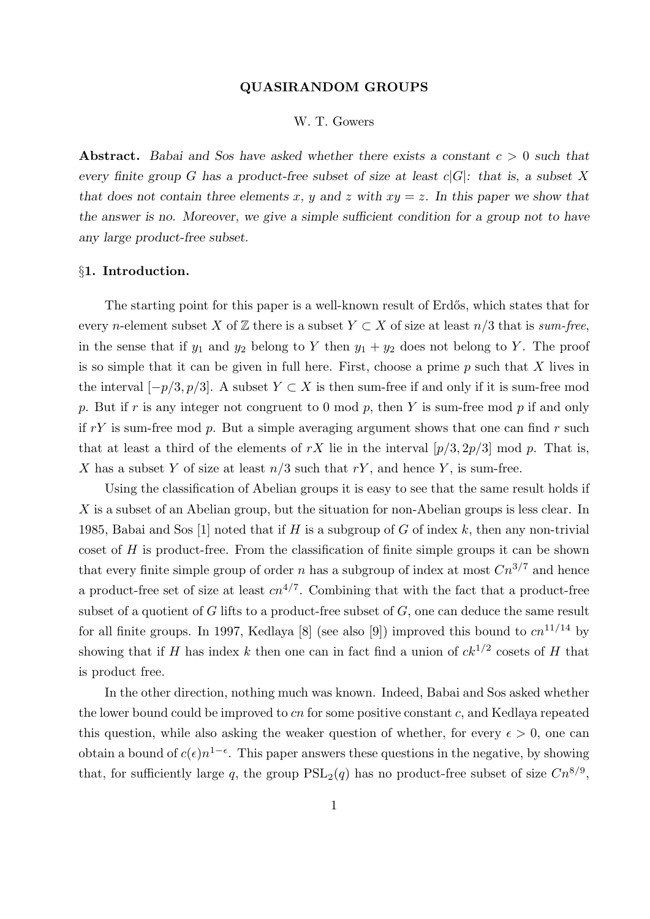#### QUASIRANDOM GROUPS

# W. T. Gowers

Abstract. Babai and Sos have asked whether there exists a constant  $c > 0$  such that every finite group G has a product-free subset of size at least  $c|G|$ : that is, a subset X that does not contain three elements x, y and z with  $xy = z$ . In this paper we show that the answer is no. Moreover, we give a simple sufficient condition for a group not to have any large product-free subset.

## §1. Introduction.

The starting point for this paper is a well-known result of Erdős, which states that for every n-element subset X of  $\mathbb Z$  there is a subset  $Y \subset X$  of size at least  $n/3$  that is sum-free, in the sense that if  $y_1$  and  $y_2$  belong to Y then  $y_1 + y_2$  does not belong to Y. The proof is so simple that it can be given in full here. First, choose a prime  $p$  such that  $X$  lives in the interval  $[-p/3, p/3]$ . A subset  $Y \subset X$  is then sum-free if and only if it is sum-free mod p. But if r is any integer not congruent to 0 mod p, then Y is sum-free mod p if and only if  $rY$  is sum-free mod  $p$ . But a simple averaging argument shows that one can find  $r$  such that at least a third of the elements of rX lie in the interval  $[p/3, 2p/3] \mod p$ . That is, X has a subset Y of size at least  $n/3$  such that  $rY$ , and hence Y, is sum-free.

Using the classification of Abelian groups it is easy to see that the same result holds if X is a subset of an Abelian group, but the situation for non-Abelian groups is less clear. In 1985, Babai and Sos [1] noted that if H is a subgroup of G of index k, then any non-trivial coset of H is product-free. From the classification of finite simple groups it can be shown that every finite simple group of order n has a subgroup of index at most  $Cn^{3/7}$  and hence a product-free set of size at least  $cn^{4/7}$ . Combining that with the fact that a product-free subset of a quotient of  $G$  lifts to a product-free subset of  $G$ , one can deduce the same result for all finite groups. In 1997, Kedlaya [8] (see also [9]) improved this bound to  $cn^{11/14}$  by showing that if H has index k then one can in fact find a union of  $ck^{1/2}$  cosets of H that is product free.

In the other direction, nothing much was known. Indeed, Babai and Sos asked whether the lower bound could be improved to cn for some positive constant c, and Kedlaya repeated this question, while also asking the weaker question of whether, for every  $\epsilon > 0$ , one can obtain a bound of  $c(\epsilon)n^{1-\epsilon}$ . This paper answers these questions in the negative, by showing that, for sufficiently large q, the group  $PSL_2(q)$  has no product-free subset of size  $Cn^{8/9}$ ,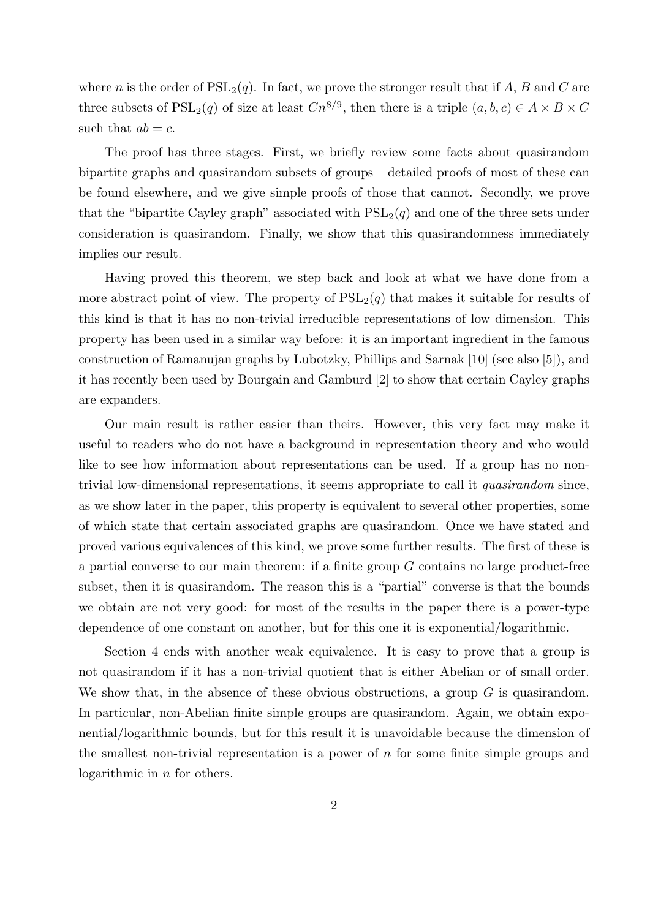where n is the order of  $PSL_2(q)$ . In fact, we prove the stronger result that if A, B and C are three subsets of  $PSL_2(q)$  of size at least  $Cn^{8/9}$ , then there is a triple  $(a, b, c) \in A \times B \times C$ such that  $ab = c$ .

The proof has three stages. First, we briefly review some facts about quasirandom bipartite graphs and quasirandom subsets of groups – detailed proofs of most of these can be found elsewhere, and we give simple proofs of those that cannot. Secondly, we prove that the "bipartite Cayley graph" associated with  $PSL<sub>2</sub>(q)$  and one of the three sets under consideration is quasirandom. Finally, we show that this quasirandomness immediately implies our result.

Having proved this theorem, we step back and look at what we have done from a more abstract point of view. The property of  $PSL<sub>2</sub>(q)$  that makes it suitable for results of this kind is that it has no non-trivial irreducible representations of low dimension. This property has been used in a similar way before: it is an important ingredient in the famous construction of Ramanujan graphs by Lubotzky, Phillips and Sarnak [10] (see also [5]), and it has recently been used by Bourgain and Gamburd [2] to show that certain Cayley graphs are expanders.

Our main result is rather easier than theirs. However, this very fact may make it useful to readers who do not have a background in representation theory and who would like to see how information about representations can be used. If a group has no nontrivial low-dimensional representations, it seems appropriate to call it quasirandom since, as we show later in the paper, this property is equivalent to several other properties, some of which state that certain associated graphs are quasirandom. Once we have stated and proved various equivalences of this kind, we prove some further results. The first of these is a partial converse to our main theorem: if a finite group G contains no large product-free subset, then it is quasirandom. The reason this is a "partial" converse is that the bounds we obtain are not very good: for most of the results in the paper there is a power-type dependence of one constant on another, but for this one it is exponential/logarithmic.

Section 4 ends with another weak equivalence. It is easy to prove that a group is not quasirandom if it has a non-trivial quotient that is either Abelian or of small order. We show that, in the absence of these obvious obstructions, a group  $G$  is quasirandom. In particular, non-Abelian finite simple groups are quasirandom. Again, we obtain exponential/logarithmic bounds, but for this result it is unavoidable because the dimension of the smallest non-trivial representation is a power of  $n$  for some finite simple groups and logarithmic in n for others.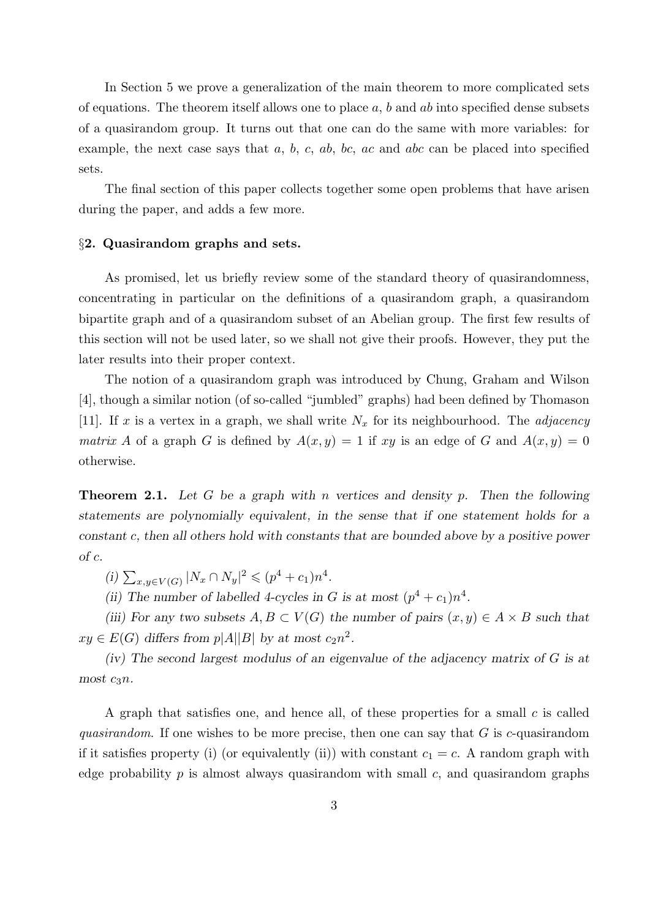In Section 5 we prove a generalization of the main theorem to more complicated sets of equations. The theorem itself allows one to place  $a, b$  and  $ab$  into specified dense subsets of a quasirandom group. It turns out that one can do the same with more variables: for example, the next case says that  $a, b, c, ab, bc, ac$  and abc can be placed into specified sets.

The final section of this paper collects together some open problems that have arisen during the paper, and adds a few more.

#### §2. Quasirandom graphs and sets.

As promised, let us briefly review some of the standard theory of quasirandomness, concentrating in particular on the definitions of a quasirandom graph, a quasirandom bipartite graph and of a quasirandom subset of an Abelian group. The first few results of this section will not be used later, so we shall not give their proofs. However, they put the later results into their proper context.

The notion of a quasirandom graph was introduced by Chung, Graham and Wilson [4], though a similar notion (of so-called "jumbled" graphs) had been defined by Thomason [11]. If x is a vertex in a graph, we shall write  $N_x$  for its neighbourhood. The *adjacency* matrix A of a graph G is defined by  $A(x, y) = 1$  if xy is an edge of G and  $A(x, y) = 0$ otherwise.

**Theorem 2.1.** Let G be a graph with n vertices and density p. Then the following statements are polynomially equivalent, in the sense that if one statement holds for a constant c, then all others hold with constants that are bounded above by a positive power of c.

(i)  $\sum_{x,y\in V(G)} |N_x \cap N_y|^2 \leqslant (p^4 + c_1)n^4$ .

(ii) The number of labelled 4-cycles in G is at most  $(p^4 + c_1)n^4$ .

(iii) For any two subsets  $A, B \subset V(G)$  the number of pairs  $(x, y) \in A \times B$  such that  $xy \in E(G)$  differs from  $p|A||B|$  by at most  $c_2n^2$ .

(iv) The second largest modulus of an eigenvalue of the adjacency matrix of G is at most  $c_3n$ .

A graph that satisfies one, and hence all, of these properties for a small  $c$  is called quasirandom. If one wishes to be more precise, then one can say that  $G$  is c-quasirandom if it satisfies property (i) (or equivalently (ii)) with constant  $c_1 = c$ . A random graph with edge probability  $p$  is almost always quasirandom with small  $c$ , and quasirandom graphs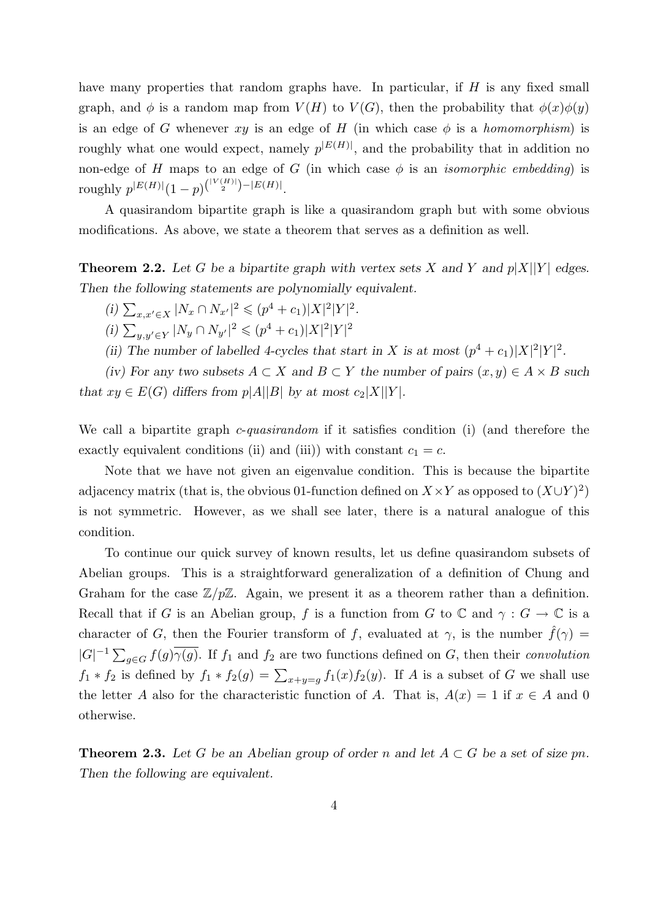have many properties that random graphs have. In particular, if H is any fixed small graph, and  $\phi$  is a random map from  $V(H)$  to  $V(G)$ , then the probability that  $\phi(x)\phi(y)$ is an edge of G whenever xy is an edge of H (in which case  $\phi$  is a homomorphism) is roughly what one would expect, namely  $p^{|E(H)|}$ , and the probability that in addition no non-edge of H maps to an edge of G (in which case  $\phi$  is an *isomorphic embedding*) is roughly  $p^{|E(H)|}(1-p)^{\binom{|V(H)|}{2}-|E(H)|}$ .

A quasirandom bipartite graph is like a quasirandom graph but with some obvious modifications. As above, we state a theorem that serves as a definition as well.

**Theorem 2.2.** Let G be a bipartite graph with vertex sets X and Y and  $p|X||Y|$  edges. Then the following statements are polynomially equivalent.

(i) 
$$
\sum_{x,x'\in X} |N_x \cap N_{x'}|^2 \leq (p^4 + c_1)|X|^2|Y|^2
$$
.

- $(i)$   $\sum_{y,y'\in Y}$   $|N_y \cap N_{y'}|^2 \leqslant (p^4+c_1)|X|^2|Y|^2$
- (ii) The number of labelled 4-cycles that start in X is at most  $(p^4 + c_1)|X|^2|Y|^2$ .

(iv) For any two subsets  $A \subset X$  and  $B \subset Y$  the number of pairs  $(x, y) \in A \times B$  such that  $xy \in E(G)$  differs from  $p|A||B|$  by at most  $c_2|X||Y|$ .

We call a bipartite graph  $c$ -quasirandom if it satisfies condition (i) (and therefore the exactly equivalent conditions (ii) and (iii)) with constant  $c_1 = c$ .

Note that we have not given an eigenvalue condition. This is because the bipartite adjacency matrix (that is, the obvious 01-function defined on  $X \times Y$  as opposed to  $(X \cup Y)^2$ ) is not symmetric. However, as we shall see later, there is a natural analogue of this condition.

To continue our quick survey of known results, let us define quasirandom subsets of Abelian groups. This is a straightforward generalization of a definition of Chung and Graham for the case  $\mathbb{Z}/p\mathbb{Z}$ . Again, we present it as a theorem rather than a definition. Recall that if G is an Abelian group, f is a function from G to C and  $\gamma: G \to \mathbb{C}$  is a character of G, then the Fourier transform of f, evaluated at  $\gamma$ , is the number  $\hat{f}(\gamma)$  =  $|G|^{-1} \sum_{g \in G} f(g) \overline{\gamma(g)}$ . If  $f_1$  and  $f_2$  are two functions defined on G, then their convolution  $f_1 * f_2$  is defined by  $f_1 * f_2(g) = \sum_{x+y=g} f_1(x) f_2(y)$ . If A is a subset of G we shall use the letter A also for the characteristic function of A. That is,  $A(x) = 1$  if  $x \in A$  and 0 otherwise.

**Theorem 2.3.** Let G be an Abelian group of order n and let  $A \subset G$  be a set of size pn. Then the following are equivalent.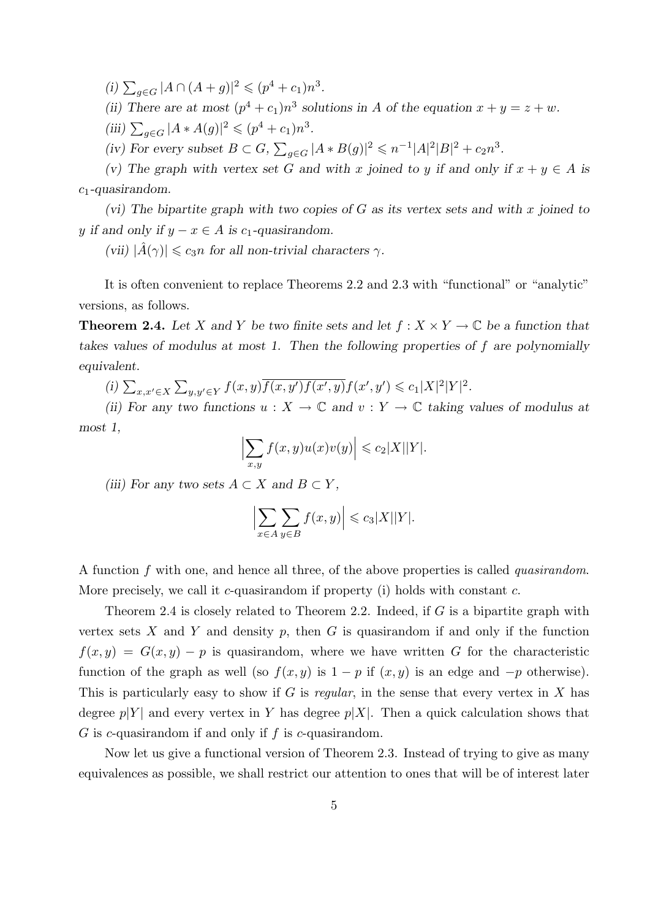(i)  $\sum_{g \in G} |A \cap (A+g)|^2 \leq (p^4 + c_1)n^3$ .

(ii) There are at most  $(p^4 + c_1)n^3$  solutions in A of the equation  $x + y = z + w$ . (iii)  $\sum_{g \in G} |A * A(g)|^2 \leq (p^4 + c_1)n^3$ .

(iv) For every subset  $B \subset G$ ,  $\sum_{g \in G} |A * B(g)|^2 \leq n^{-1}|A|^2|B|^2 + c_2 n^3$ .

(v) The graph with vertex set G and with x joined to y if and only if  $x + y \in A$  is  $c_1$ -quasirandom.

(vi) The bipartite graph with two copies of  $G$  as its vertex sets and with x joined to y if and only if  $y - x \in A$  is c<sub>1</sub>-quasirandom.

(vii)  $|\hat{A}(\gamma)| \leq c_3 n$  for all non-trivial characters  $\gamma$ .

It is often convenient to replace Theorems 2.2 and 2.3 with "functional" or "analytic" versions, as follows.

**Theorem 2.4.** Let X and Y be two finite sets and let  $f : X \times Y \to \mathbb{C}$  be a function that takes values of modulus at most 1. Then the following properties of f are polynomially equivalent.

(i)  $\sum_{x,x'\in X}\sum_{y,y'\in Y}f(x,y)\overline{f(x,y')f(x',y)}f(x',y')\leqslant c_1|X|^2|Y|^2.$ 

(ii) For any two functions  $u: X \to \mathbb{C}$  and  $v: Y \to \mathbb{C}$  taking values of modulus at most 1,

$$
\left|\sum_{x,y} f(x,y)u(x)v(y)\right| \leqslant c_2|X||Y|.
$$

(iii) For any two sets  $A \subset X$  and  $B \subset Y$ ,

$$
\left|\sum_{x\in A}\sum_{y\in B}f(x,y)\right|\leqslant c_3|X||Y|.
$$

A function f with one, and hence all three, of the above properties is called quasirandom. More precisely, we call it c-quasirandom if property (i) holds with constant  $c$ .

Theorem 2.4 is closely related to Theorem 2.2. Indeed, if  $G$  is a bipartite graph with vertex sets  $X$  and  $Y$  and density  $p$ , then  $G$  is quasirandom if and only if the function  $f(x, y) = G(x, y) - p$  is quasirandom, where we have written G for the characteristic function of the graph as well (so  $f(x, y)$  is  $1 - p$  if  $(x, y)$  is an edge and  $-p$  otherwise). This is particularly easy to show if G is regular, in the sense that every vertex in X has degree  $p|Y|$  and every vertex in Y has degree  $p|X|$ . Then a quick calculation shows that  $G$  is c-quasirandom if and only if  $f$  is c-quasirandom.

Now let us give a functional version of Theorem 2.3. Instead of trying to give as many equivalences as possible, we shall restrict our attention to ones that will be of interest later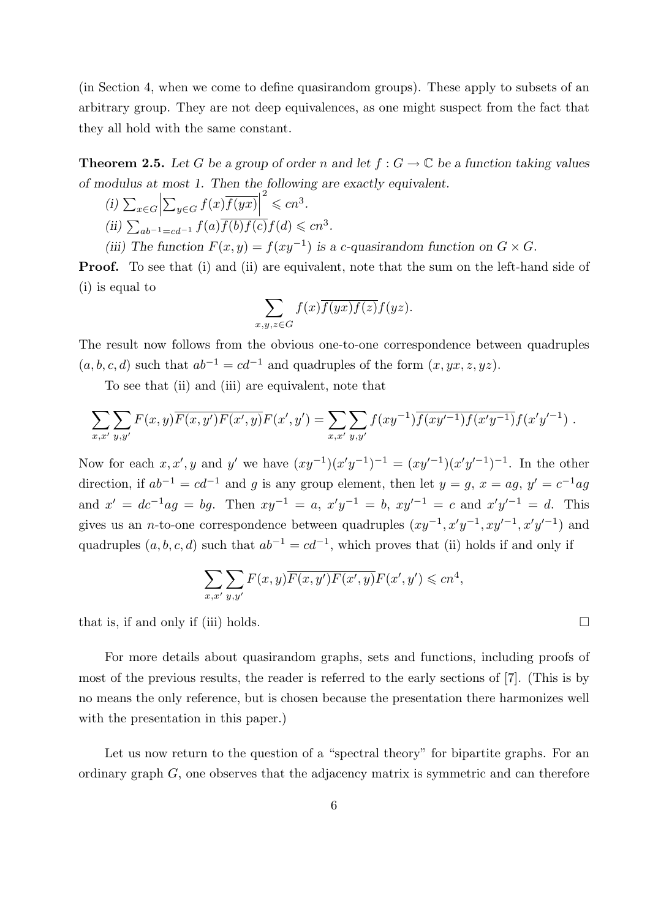(in Section 4, when we come to define quasirandom groups). These apply to subsets of an arbitrary group. They are not deep equivalences, as one might suspect from the fact that they all hold with the same constant.

**Theorem 2.5.** Let G be a group of order n and let  $f: G \to \mathbb{C}$  be a function taking values of modulus at most 1. Then the following are exactly equivalent.

 $(i)$   $\sum_{x \in G}$  $\sum_{y\in G} f(x) \overline{f(yx)}$  $\overset{2}{\leq}$   $cn^3$ . (ii)  $\sum_{ab^{-1}=cd^{-1}} f(a) \overline{f(b)f(c)} f(d) \leq c n^3$ . (iii) The function  $F(x, y) = f(xy^{-1})$  is a c-quasirandom function on  $G \times G$ .

**Proof.** To see that (i) and (ii) are equivalent, note that the sum on the left-hand side of (i) is equal to

$$
\sum_{x,y,z \in G} f(x) \overline{f(yx)f(z)} f(yz).
$$

The result now follows from the obvious one-to-one correspondence between quadruples  $(a, b, c, d)$  such that  $ab^{-1} = cd^{-1}$  and quadruples of the form  $(x, yx, z, yz)$ .

To see that (ii) and (iii) are equivalent, note that

$$
\sum_{x,x'} \sum_{y,y'} F(x,y) \overline{F(x,y')} F(x',y) F(x',y') = \sum_{x,x'} \sum_{y,y'} f(xy^{-1}) \overline{f(xy'^{-1})} f(x'y^{-1}) f(x'y'^{-1}) .
$$

Now for each  $x, x', y$  and y' we have  $(xy^{-1})(x'y^{-1})^{-1} = (xy'^{-1})(x'y'^{-1})^{-1}$ . In the other direction, if  $ab^{-1} = cd^{-1}$  and g is any group element, then let  $y = g$ ,  $x = ag$ ,  $y' = c^{-1}ag$ and  $x' = dc^{-1}ag = bg$ . Then  $xy^{-1} = a$ ,  $x'y^{-1} = b$ ,  $xy'^{-1} = c$  and  $x'y'^{-1} = d$ . This gives us an *n*-to-one correspondence between quadruples  $(xy^{-1}, x'y^{-1}, xy'^{-1}, x'y'^{-1})$  and quadruples  $(a, b, c, d)$  such that  $ab^{-1} = cd^{-1}$ , which proves that (ii) holds if and only if

$$
\sum_{x,x'} \sum_{y,y'} F(x,y) \overline{F(x,y')} F(x',y) F(x',y') \leqslant c n^4,
$$

that is, if and only if (iii) holds.  $\Box$ 

For more details about quasirandom graphs, sets and functions, including proofs of most of the previous results, the reader is referred to the early sections of [7]. (This is by no means the only reference, but is chosen because the presentation there harmonizes well with the presentation in this paper.)

Let us now return to the question of a "spectral theory" for bipartite graphs. For an ordinary graph  $G$ , one observes that the adjacency matrix is symmetric and can therefore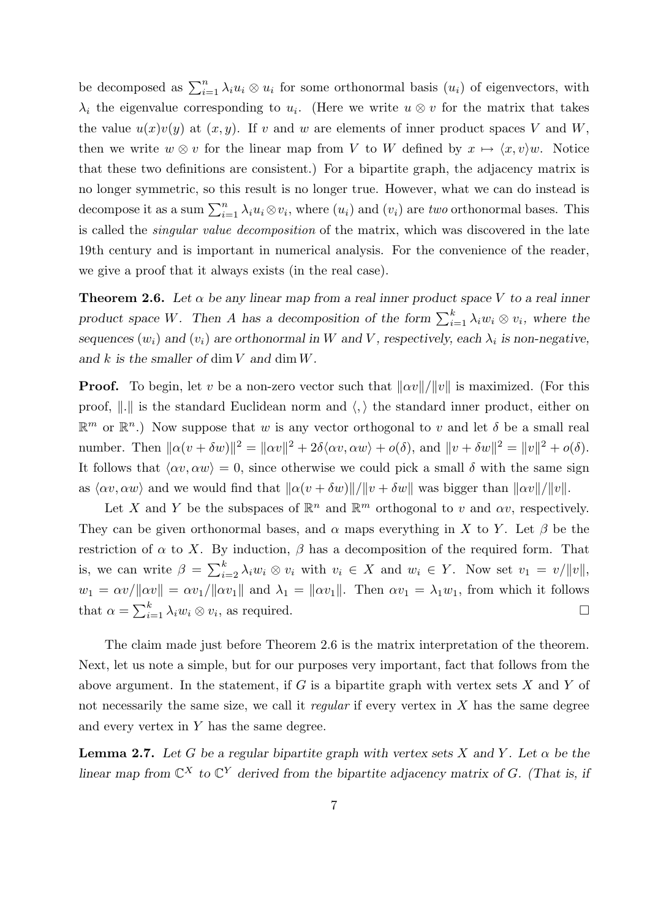be decomposed as  $\sum_{i=1}^{n} \lambda_i u_i \otimes u_i$  for some orthonormal basis  $(u_i)$  of eigenvectors, with  $\lambda_i$  the eigenvalue corresponding to  $u_i$ . (Here we write  $u \otimes v$  for the matrix that takes the value  $u(x)v(y)$  at  $(x, y)$ . If v and w are elements of inner product spaces V and W, then we write  $w \otimes v$  for the linear map from V to W defined by  $x \mapsto \langle x, v \rangle w$ . Notice that these two definitions are consistent.) For a bipartite graph, the adjacency matrix is no longer symmetric, so this result is no longer true. However, what we can do instead is decompose it as a sum  $\sum_{i=1}^{n} \lambda_i u_i \otimes v_i$ , where  $(u_i)$  and  $(v_i)$  are two orthonormal bases. This is called the singular value decomposition of the matrix, which was discovered in the late 19th century and is important in numerical analysis. For the convenience of the reader, we give a proof that it always exists (in the real case).

**Theorem 2.6.** Let  $\alpha$  be any linear map from a real inner product space V to a real inner product space W. Then A has a decomposition of the form  $\sum_{i=1}^{k} \lambda_i w_i \otimes v_i$ , where the sequences  $(w_i)$  and  $(v_i)$  are orthonormal in W and V, respectively, each  $\lambda_i$  is non-negative, and k is the smaller of dim V and dim  $W$ .

**Proof.** To begin, let v be a non-zero vector such that  $\|\alpha v\|/\|v\|$  is maximized. (For this proof,  $\Vert . \Vert$  is the standard Euclidean norm and  $\langle , \rangle$  the standard inner product, either on  $\mathbb{R}^m$  or  $\mathbb{R}^n$ .) Now suppose that w is any vector orthogonal to v and let  $\delta$  be a small real number. Then  $\|\alpha(v + \delta w)\|^2 = \|\alpha v\|^2 + 2\delta \langle \alpha v, \alpha w \rangle + o(\delta)$ , and  $\|v + \delta w\|^2 = \|v\|^2 + o(\delta)$ . It follows that  $\langle \alpha v, \alpha w \rangle = 0$ , since otherwise we could pick a small  $\delta$  with the same sign as  $\langle \alpha v, \alpha w \rangle$  and we would find that  $\|\alpha(v + \delta w)\|/\|v + \delta w\|$  was bigger than  $\|\alpha v\|/\|v\|$ .

Let X and Y be the subspaces of  $\mathbb{R}^n$  and  $\mathbb{R}^m$  orthogonal to v and  $\alpha v$ , respectively. They can be given orthonormal bases, and  $\alpha$  maps everything in X to Y. Let  $\beta$  be the restriction of  $\alpha$  to X. By induction,  $\beta$  has a decomposition of the required form. That is, we can write  $\beta = \sum_{i=2}^{k} \lambda_i w_i \otimes v_i$  with  $v_i \in X$  and  $w_i \in Y$ . Now set  $v_1 = v/||v||$ ,  $w_1 = \alpha v / ||\alpha v|| = \alpha v_1 / ||\alpha v_1||$  and  $\lambda_1 = ||\alpha v_1||$ . Then  $\alpha v_1 = \lambda_1 w_1$ , from which it follows that  $\alpha = \sum_{i=1}^{k} \lambda_i w_i \otimes v_i$ , as required.

The claim made just before Theorem 2.6 is the matrix interpretation of the theorem. Next, let us note a simple, but for our purposes very important, fact that follows from the above argument. In the statement, if  $G$  is a bipartite graph with vertex sets  $X$  and  $Y$  of not necessarily the same size, we call it *regular* if every vertex in  $X$  has the same degree and every vertex in  $Y$  has the same degree.

**Lemma 2.7.** Let G be a regular bipartite graph with vertex sets X and Y. Let  $\alpha$  be the linear map from  $\mathbb{C}^X$  to  $\mathbb{C}^Y$  derived from the bipartite adjacency matrix of G. (That is, if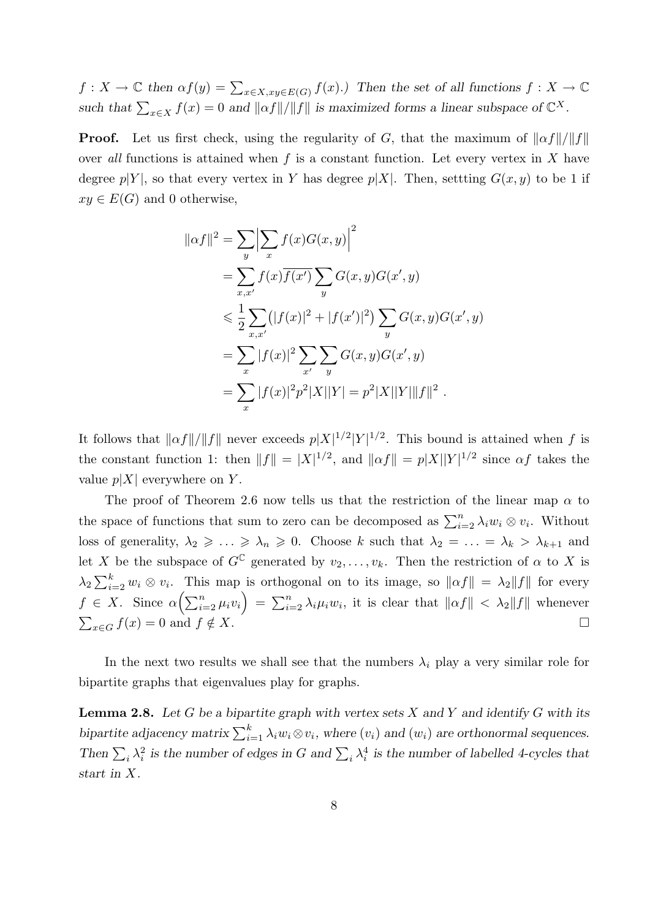$f: X \to \mathbb{C}$  then  $\alpha f(y) = \sum_{x \in X, xy \in E(G)} f(x)$ . Then the set of all functions  $f: X \to \mathbb{C}$ such that  $\sum_{x \in X} f(x) = 0$  and  $||\alpha f||/||f||$  is maximized forms a linear subspace of  $\mathbb{C}^X$ .

**Proof.** Let us first check, using the regularity of G, that the maximum of  $\|\alpha f\|/\|f\|$ over all functions is attained when f is a constant function. Let every vertex in X have degree  $p|Y|$ , so that every vertex in Y has degree  $p|X|$ . Then, settling  $G(x, y)$  to be 1 if  $xy \in E(G)$  and 0 otherwise,

$$
\|\alpha f\|^2 = \sum_{y} \Big|\sum_{x} f(x)G(x,y)\Big|^2
$$
  
=  $\sum_{x,x'} f(x)\overline{f(x')} \sum_{y} G(x,y)G(x',y)$   
 $\leq \frac{1}{2} \sum_{x,x'} (|f(x)|^2 + |f(x')|^2) \sum_{y} G(x,y)G(x',y)$   
=  $\sum_{x} |f(x)|^2 \sum_{x'} \sum_{y} G(x,y)G(x',y)$   
=  $\sum_{x} |f(x)|^2 p^2 |X||Y| = p^2 |X||Y|| \|f\|^2.$ 

It follows that  $\|\alpha f\|/\|f\|$  never exceeds  $p|X|^{1/2}|Y|^{1/2}$ . This bound is attained when f is the constant function 1: then  $||f|| = |X|^{1/2}$ , and  $||\alpha f|| = p|X||Y|^{1/2}$  since  $\alpha f$  takes the value  $p|X|$  everywhere on Y.

The proof of Theorem 2.6 now tells us that the restriction of the linear map  $\alpha$  to the space of functions that sum to zero can be decomposed as  $\sum_{i=2}^{n} \lambda_i w_i \otimes v_i$ . Without loss of generality,  $\lambda_2 \geq \ldots \geq \lambda_n \geq 0$ . Choose k such that  $\lambda_2 = \ldots = \lambda_k > \lambda_{k+1}$  and let X be the subspace of  $G^{\mathbb{C}}$  generated by  $v_2, \ldots, v_k$ . Then the restriction of  $\alpha$  to X is  $\lambda_2 \sum_{i=2}^k w_i \otimes v_i$ . This map is orthogonal on to its image, so  $\|\alpha f\| = \lambda_2 \|f\|$  for every  $f \in X$ . Since  $\alpha\left(\sum_{i=2}^n \mu_i v_i\right) = \sum_{i=2}^n \lambda_i \mu_i w_i$ , it is clear that  $\|\alpha f\| < \lambda_2 \|f\|$  whenever  $\sum_{x \in G} f(x) = 0$  and  $f \notin X$ .

In the next two results we shall see that the numbers  $\lambda_i$  play a very similar role for bipartite graphs that eigenvalues play for graphs.

**Lemma 2.8.** Let G be a bipartite graph with vertex sets X and Y and identify G with its bipartite adjacency matrix  $\sum_{i=1}^{k} \lambda_i w_i \otimes v_i$ , where  $(v_i)$  and  $(w_i)$  are orthonormal sequences. Then  $\sum_i \lambda_i^2$  is the number of edges in G and  $\sum_i \lambda_i^4$  is the number of labelled 4-cycles that start in X.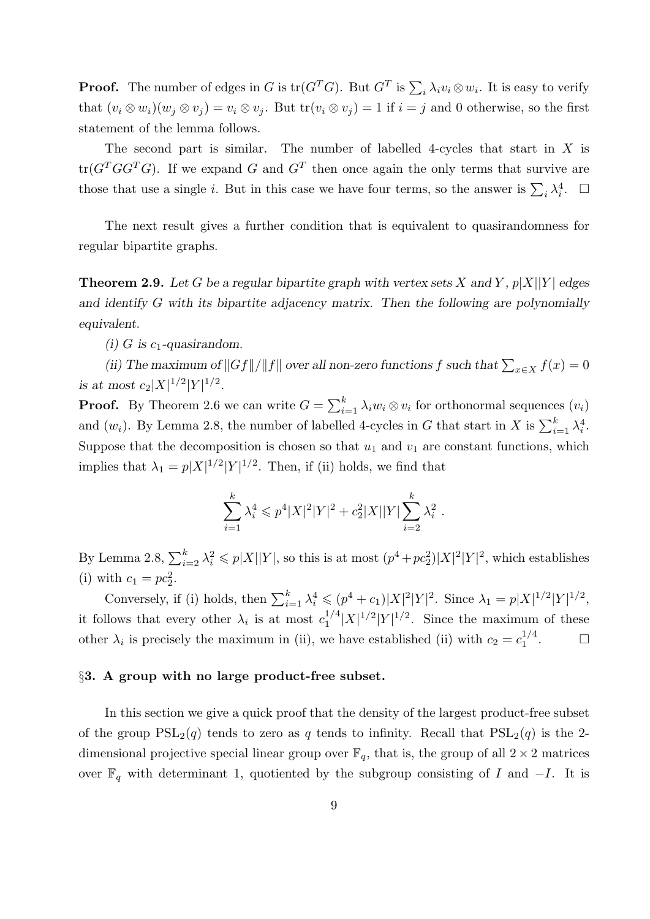**Proof.** The number of edges in G is  $tr(G^T G)$ . But  $G^T$  is  $\sum_i \lambda_i v_i \otimes w_i$ . It is easy to verify that  $(v_i \otimes w_i)(w_i \otimes v_j) = v_i \otimes v_j$ . But  $tr(v_i \otimes v_j) = 1$  if  $i = j$  and 0 otherwise, so the first statement of the lemma follows.

The second part is similar. The number of labelled 4-cycles that start in  $X$  is  $tr(G<sup>T</sup>GG<sup>T</sup>G)$ . If we expand G and  $G<sup>T</sup>$  then once again the only terms that survive are those that use a single *i*. But in this case we have four terms, so the answer is  $\sum_i \lambda_i^4$ .  $\Box$ 

The next result gives a further condition that is equivalent to quasirandomness for regular bipartite graphs.

**Theorem 2.9.** Let G be a regular bipartite graph with vertex sets X and Y,  $p|X||Y|$  edges and identify G with its bipartite adjacency matrix. Then the following are polynomially equivalent.

(i) G is  $c_1$ -quasirandom.

(ii) The maximum of  $||Gf||/||f||$  over all non-zero functions f such that  $\sum_{x \in X} f(x) = 0$ is at most  $c_2|X|^{1/2}|Y|^{1/2}$ .

**Proof.** By Theorem 2.6 we can write  $G = \sum_{i=1}^{k} \lambda_i w_i \otimes v_i$  for orthonormal sequences  $(v_i)$ and  $(w_i)$ . By Lemma 2.8, the number of labelled 4-cycles in G that start in X is  $\sum_{i=1}^{k} \lambda_i^4$ . Suppose that the decomposition is chosen so that  $u_1$  and  $v_1$  are constant functions, which implies that  $\lambda_1 = p|X|^{1/2}|Y|^{1/2}$ . Then, if (ii) holds, we find that

$$
\sum_{i=1}^{k} \lambda_i^4 \leqslant p^4 |X|^2 |Y|^2 + c_2^2 |X||Y| \sum_{i=2}^{k} \lambda_i^2.
$$

By Lemma 2.8,  $\sum_{i=2}^{k} \lambda_i^2 \leqslant p|X||Y|$ , so this is at most  $(p^4 + pc_2^2)|X|^2|Y|^2$ , which establishes (i) with  $c_1 = pc_2^2$ .

Conversely, if (i) holds, then  $\sum_{i=1}^k \lambda_i^4 \leqslant (p^4 + c_1)|X|^2|Y|^2$ . Since  $\lambda_1 = p|X|^{1/2}|Y|^{1/2}$ , it follows that every other  $\lambda_i$  is at most  $c_1^{1/4}$  $\int_1^{1/4} |X|^{1/2} |Y|^{1/2}$ . Since the maximum of these other  $\lambda_i$  is precisely the maximum in (ii), we have established (ii) with  $c_2 = c_1^{1/4}$ 1  $\Box$ 

# §3. A group with no large product-free subset.

In this section we give a quick proof that the density of the largest product-free subset of the group  $PSL_2(q)$  tends to zero as q tends to infinity. Recall that  $PSL_2(q)$  is the 2dimensional projective special linear group over  $\mathbb{F}_q$ , that is, the group of all  $2 \times 2$  matrices over  $\mathbb{F}_q$  with determinant 1, quotiented by the subgroup consisting of I and  $-I$ . It is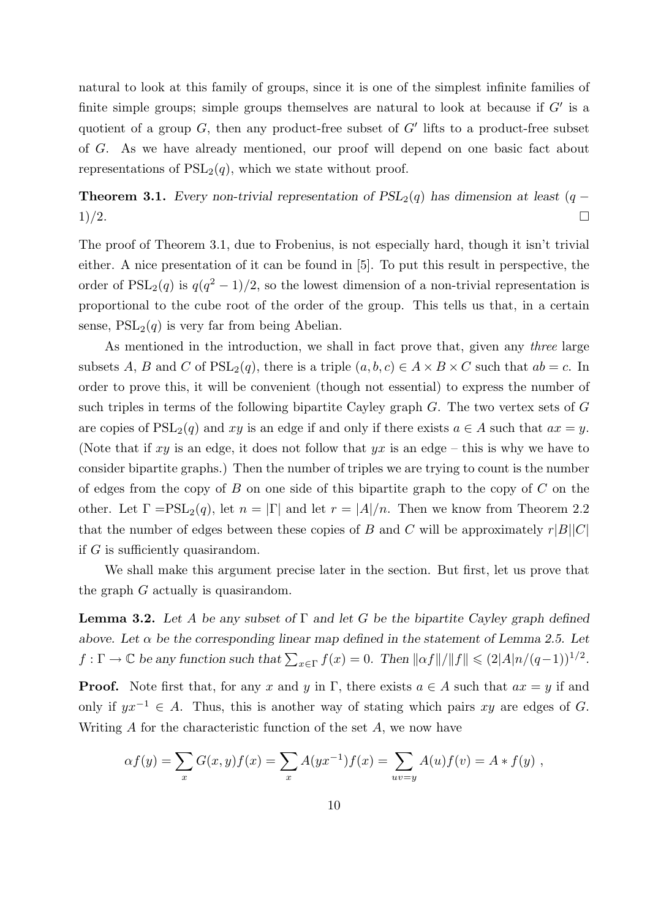natural to look at this family of groups, since it is one of the simplest infinite families of finite simple groups; simple groups themselves are natural to look at because if  $G'$  is a quotient of a group  $G$ , then any product-free subset of  $G'$  lifts to a product-free subset of G. As we have already mentioned, our proof will depend on one basic fact about representations of  $PSL<sub>2</sub>(q)$ , which we state without proof.

**Theorem 3.1.** Every non-trivial representation of  $PSL_2(q)$  has dimension at least (q −  $1)/2.$ 

The proof of Theorem 3.1, due to Frobenius, is not especially hard, though it isn't trivial either. A nice presentation of it can be found in [5]. To put this result in perspective, the order of  $PSL_2(q)$  is  $q(q^2-1)/2$ , so the lowest dimension of a non-trivial representation is proportional to the cube root of the order of the group. This tells us that, in a certain sense,  $PSL<sub>2</sub>(q)$  is very far from being Abelian.

As mentioned in the introduction, we shall in fact prove that, given any three large subsets A, B and C of  $PSL_2(q)$ , there is a triple  $(a, b, c) \in A \times B \times C$  such that  $ab = c$ . In order to prove this, it will be convenient (though not essential) to express the number of such triples in terms of the following bipartite Cayley graph G. The two vertex sets of G are copies of  $PSL_2(q)$  and xy is an edge if and only if there exists  $a \in A$  such that  $ax = y$ . (Note that if xy is an edge, it does not follow that  $yx$  is an edge – this is why we have to consider bipartite graphs.) Then the number of triples we are trying to count is the number of edges from the copy of B on one side of this bipartite graph to the copy of  $C$  on the other. Let  $\Gamma = \mathrm{PSL}_2(q)$ , let  $n = |\Gamma|$  and let  $r = |A|/n$ . Then we know from Theorem 2.2 that the number of edges between these copies of B and C will be approximately  $r|B||C|$ if G is sufficiently quasirandom.

We shall make this argument precise later in the section. But first, let us prove that the graph G actually is quasirandom.

**Lemma 3.2.** Let A be any subset of  $\Gamma$  and let G be the bipartite Cayley graph defined above. Let  $\alpha$  be the corresponding linear map defined in the statement of Lemma 2.5. Let  $f: \Gamma \to \mathbb{C}$  be any function such that  $\sum_{x \in \Gamma} f(x) = 0$ . Then  $\|\alpha f\|/\|f\| \leq (2|A|n/(q-1))^{1/2}$ .

**Proof.** Note first that, for any x and y in Γ, there exists  $a \in A$  such that  $ax = y$  if and only if  $yx^{-1} \in A$ . Thus, this is another way of stating which pairs xy are edges of G. Writing  $A$  for the characteristic function of the set  $A$ , we now have

$$
\alpha f(y) = \sum_{x} G(x, y) f(x) = \sum_{x} A(yx^{-1}) f(x) = \sum_{uv=y} A(u) f(v) = A * f(y) ,
$$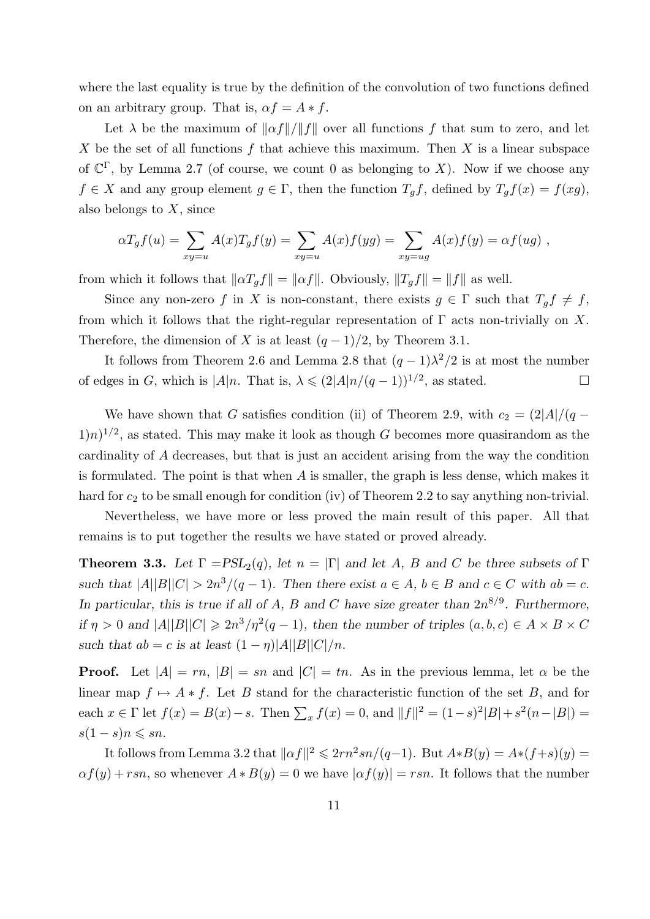where the last equality is true by the definition of the convolution of two functions defined on an arbitrary group. That is,  $\alpha f = A * f$ .

Let  $\lambda$  be the maximum of  $\|\alpha f\|/\|f\|$  over all functions f that sum to zero, and let X be the set of all functions  $f$  that achieve this maximum. Then  $X$  is a linear subspace of  $\mathbb{C}^{\Gamma}$ , by Lemma 2.7 (of course, we count 0 as belonging to X). Now if we choose any  $f \in X$  and any group element  $g \in \Gamma$ , then the function  $T_g f$ , defined by  $T_g f(x) = f(xg)$ , also belongs to  $X$ , since

$$
\alpha T_g f(u) = \sum_{xy=u} A(x) T_g f(y) = \sum_{xy=u} A(x) f(yg) = \sum_{xy=ug} A(x) f(y) = \alpha f(ug) ,
$$

from which it follows that  $\|\alpha T_g f\| = \|\alpha f\|$ . Obviously,  $\|T_g f\| = \|f\|$  as well.

Since any non-zero f in X is non-constant, there exists  $g \in \Gamma$  such that  $T_g f \neq f$ , from which it follows that the right-regular representation of  $\Gamma$  acts non-trivially on X. Therefore, the dimension of X is at least  $(q-1)/2$ , by Theorem 3.1.

It follows from Theorem 2.6 and Lemma 2.8 that  $(q-1)\lambda^2/2$  is at most the number of edges in G, which is  $|A|n$ . That is,  $\lambda \leq (2|A|n/(q-1))^{1/2}$ , as stated.

We have shown that G satisfies condition (ii) of Theorem 2.9, with  $c_2 = \frac{2|A|}{q}$  $(1)$ n)<sup>1/2</sup>, as stated. This may make it look as though G becomes more quasirandom as the cardinality of A decreases, but that is just an accident arising from the way the condition is formulated. The point is that when A is smaller, the graph is less dense, which makes it hard for  $c_2$  to be small enough for condition (iv) of Theorem 2.2 to say anything non-trivial.

Nevertheless, we have more or less proved the main result of this paper. All that remains is to put together the results we have stated or proved already.

**Theorem 3.3.** Let  $\Gamma = PSL_2(q)$ , let  $n = |\Gamma|$  and let A, B and C be three subsets of  $\Gamma$ such that  $|A||B||C| > 2n^3/(q-1)$ . Then there exist  $a \in A$ ,  $b \in B$  and  $c \in C$  with  $ab = c$ . In particular, this is true if all of A, B and C have size greater than  $2n^{8/9}$ . Furthermore, if  $\eta > 0$  and  $|A||B||C| \geq 2n^3/\eta^2(q-1)$ , then the number of triples  $(a, b, c) \in A \times B \times C$ such that  $ab = c$  is at least  $(1 - \eta)|A||B||C|/n$ .

**Proof.** Let  $|A| = rn$ ,  $|B| = sn$  and  $|C| = tn$ . As in the previous lemma, let  $\alpha$  be the linear map  $f \mapsto A * f$ . Let B stand for the characteristic function of the set B, and for each  $x \in \Gamma$  let  $f(x) = B(x) - s$ . Then  $\sum_x f(x) = 0$ , and  $||f||^2 = (1 - s)^2 |B| + s^2 (n - |B|) =$  $s(1-s)n \leqslant sn$ .

It follows from Lemma 3.2 that  $\|\alpha f\|^2 \leq 2rn^2sn/(q-1)$ . But  $A*B(y) = A*(f+s)(y) =$  $\alpha f(y) + rsn$ , so whenever  $A * B(y) = 0$  we have  $|\alpha f(y)| = rsn$ . It follows that the number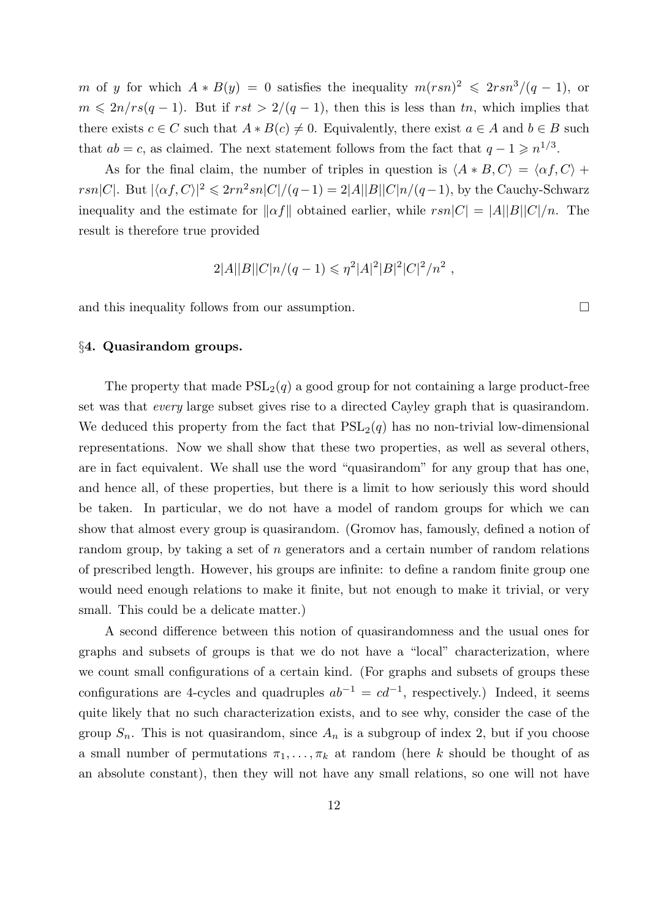m of y for which  $A * B(y) = 0$  satisfies the inequality  $m(rsn)^2 \leqslant 2rsn^3/(q-1)$ , or  $m \leq 2n/rs(q-1)$ . But if  $rst > 2/(q-1)$ , then this is less than tn, which implies that there exists  $c \in C$  such that  $A * B(c) \neq 0$ . Equivalently, there exist  $a \in A$  and  $b \in B$  such that  $ab = c$ , as claimed. The next statement follows from the fact that  $q - 1 \geq n^{1/3}$ .

As for the final claim, the number of triples in question is  $\langle A * B, C \rangle = \langle \alpha f, C \rangle +$ rsn|C|. But  $|\langle \alpha f, C \rangle|^2 \leq 2rn^2sn|C|/(q-1) = 2|A||B||C|n/(q-1)$ , by the Cauchy-Schwarz inequality and the estimate for  $\|\alpha f\|$  obtained earlier, while  $rsn|C| = |A||B||C|/n$ . The result is therefore true provided

$$
2|A||B||C|n/(q-1) \leq \eta^2|A|^2|B|^2|C|^2/n^2,
$$

and this inequality follows from our assumption.

§4. Quasirandom groups.

The property that made  $PSL_2(q)$  a good group for not containing a large product-free set was that every large subset gives rise to a directed Cayley graph that is quasirandom. We deduced this property from the fact that  $PSL<sub>2</sub>(q)$  has no non-trivial low-dimensional representations. Now we shall show that these two properties, as well as several others, are in fact equivalent. We shall use the word "quasirandom" for any group that has one, and hence all, of these properties, but there is a limit to how seriously this word should be taken. In particular, we do not have a model of random groups for which we can show that almost every group is quasirandom. (Gromov has, famously, defined a notion of random group, by taking a set of n generators and a certain number of random relations of prescribed length. However, his groups are infinite: to define a random finite group one would need enough relations to make it finite, but not enough to make it trivial, or very small. This could be a delicate matter.)

A second difference between this notion of quasirandomness and the usual ones for graphs and subsets of groups is that we do not have a "local" characterization, where we count small configurations of a certain kind. (For graphs and subsets of groups these configurations are 4-cycles and quadruples  $ab^{-1} = cd^{-1}$ , respectively.) Indeed, it seems quite likely that no such characterization exists, and to see why, consider the case of the group  $S_n$ . This is not quasirandom, since  $A_n$  is a subgroup of index 2, but if you choose a small number of permutations  $\pi_1, \ldots, \pi_k$  at random (here k should be thought of as an absolute constant), then they will not have any small relations, so one will not have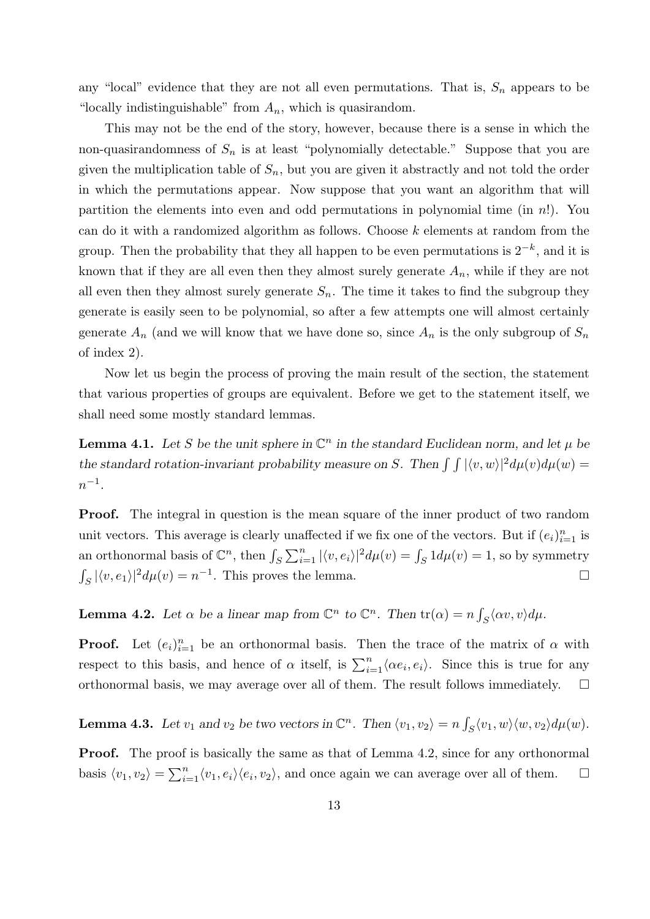any "local" evidence that they are not all even permutations. That is,  $S_n$  appears to be "locally indistinguishable" from  $A_n$ , which is quasirandom.

This may not be the end of the story, however, because there is a sense in which the non-quasirandomness of  $S_n$  is at least "polynomially detectable." Suppose that you are given the multiplication table of  $S_n$ , but you are given it abstractly and not told the order in which the permutations appear. Now suppose that you want an algorithm that will partition the elements into even and odd permutations in polynomial time (in  $n!$ ). You can do it with a randomized algorithm as follows. Choose  $k$  elements at random from the group. Then the probability that they all happen to be even permutations is  $2^{-k}$ , and it is known that if they are all even then they almost surely generate  $A_n$ , while if they are not all even then they almost surely generate  $S_n$ . The time it takes to find the subgroup they generate is easily seen to be polynomial, so after a few attempts one will almost certainly generate  $A_n$  (and we will know that we have done so, since  $A_n$  is the only subgroup of  $S_n$ of index 2).

Now let us begin the process of proving the main result of the section, the statement that various properties of groups are equivalent. Before we get to the statement itself, we shall need some mostly standard lemmas.

**Lemma 4.1.** Let S be the unit sphere in  $\mathbb{C}^n$  in the standard Euclidean norm, and let  $\mu$  be the standard rotation-invariant probability measure on S. Then  $\int \int |\langle v, w \rangle|^2 d\mu(v) d\mu(w) =$  $n^{-1}$ .

**Proof.** The integral in question is the mean square of the inner product of two random unit vectors. This average is clearly unaffected if we fix one of the vectors. But if  $(e_i)_{i=1}^n$  is an orthonormal basis of  $\mathbb{C}^n$ , then  $\int_S \sum_{i=1}^n |\langle v, e_i \rangle|^2 d\mu(v) = \int_S 1 d\mu(v) = 1$ , so by symmetry  $\int_{S} |\langle v, e_1 \rangle|^2 d\mu(v) = n^{-1}$ . This proves the lemma.

**Lemma 4.2.** Let  $\alpha$  be a linear map from  $\mathbb{C}^n$  to  $\mathbb{C}^n$ . Then  $tr(\alpha) = n \int_S \langle \alpha v, v \rangle d\mu$ .

**Proof.** Let  $(e_i)_{i=1}^n$  be an orthonormal basis. Then the trace of the matrix of  $\alpha$  with respect to this basis, and hence of  $\alpha$  itself, is  $\sum_{i=1}^{n} \langle \alpha e_i, e_i \rangle$ . Since this is true for any orthonormal basis, we may average over all of them. The result follows immediately.  $\square$ 

**Lemma 4.3.** Let  $v_1$  and  $v_2$  be two vectors in  $\mathbb{C}^n$ . Then  $\langle v_1, v_2 \rangle = n \int_S \langle v_1, w \rangle \langle w, v_2 \rangle d\mu(w)$ .

**Proof.** The proof is basically the same as that of Lemma 4.2, since for any orthonormal basis  $\langle v_1, v_2 \rangle = \sum_{i=1}^n \langle v_1, e_i \rangle \langle e_i, v_2 \rangle$ , and once again we can average over all of them.  $\Box$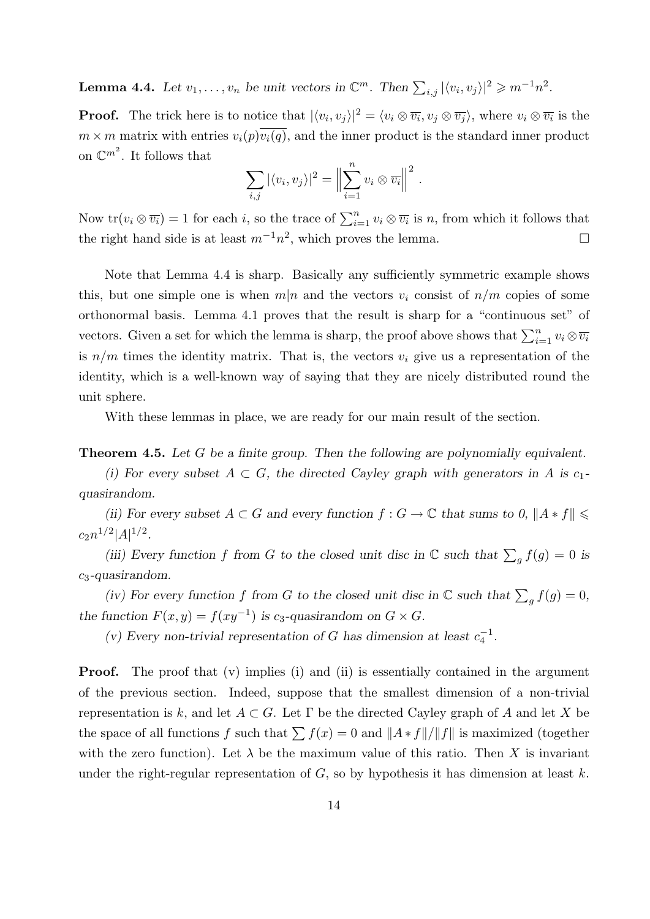**Lemma 4.4.** Let  $v_1, \ldots, v_n$  be unit vectors in  $\mathbb{C}^m$ . Then  $\sum_{i,j} |\langle v_i, v_j \rangle|^2 \geqslant m^{-1} n^2$ .

**Proof.** The trick here is to notice that  $|\langle v_i, v_j \rangle|^2 = \langle v_i \otimes \overline{v_i}, v_j \otimes \overline{v_j} \rangle$ , where  $v_i \otimes \overline{v_i}$  is the  $m \times m$  matrix with entries  $v_i(p)v_i(q)$ , and the inner product is the standard inner product on  $\mathbb{C}^{m^2}$ . It follows that

$$
\sum_{i,j} |\langle v_i, v_j \rangle|^2 = \left\| \sum_{i=1}^n v_i \otimes \overline{v_i} \right\|^2.
$$

Now  $tr(v_i \otimes \overline{v_i}) = 1$  for each i, so the trace of  $\sum_{i=1}^n v_i \otimes \overline{v_i}$  is n, from which it follows that the right hand side is at least  $m^{-1}n^2$ , which proves the lemma.

Note that Lemma 4.4 is sharp. Basically any sufficiently symmetric example shows this, but one simple one is when  $m|n$  and the vectors  $v_i$  consist of  $n/m$  copies of some orthonormal basis. Lemma 4.1 proves that the result is sharp for a "continuous set" of vectors. Given a set for which the lemma is sharp, the proof above shows that  $\sum_{i=1}^{n} v_i \otimes \overline{v_i}$ is  $n/m$  times the identity matrix. That is, the vectors  $v_i$  give us a representation of the identity, which is a well-known way of saying that they are nicely distributed round the unit sphere.

With these lemmas in place, we are ready for our main result of the section.

**Theorem 4.5.** Let G be a finite group. Then the following are polynomially equivalent.

(i) For every subset  $A \subset G$ , the directed Cayley graph with generators in A is c<sub>1</sub>quasirandom.

(ii) For every subset  $A \subset G$  and every function  $f : G \to \mathbb{C}$  that sums to  $0, \|A * f\| \leq$  $c_2 n^{1/2} |A|^{1/2}.$ 

(iii) Every function f from G to the closed unit disc in  $\mathbb C$  such that  $\sum_g f(g) = 0$  is  $c_3$ -quasirandom.

(iv) For every function f from G to the closed unit disc in  $\mathbb C$  such that  $\sum_g f(g) = 0$ , the function  $F(x, y) = f(xy^{-1})$  is c<sub>3</sub>-quasirandom on  $G \times G$ .

(v) Every non-trivial representation of G has dimension at least  $c_4^{-1}$  $\frac{1}{4}$ .

**Proof.** The proof that (v) implies (i) and (ii) is essentially contained in the argument of the previous section. Indeed, suppose that the smallest dimension of a non-trivial representation is k, and let  $A \subset G$ . Let  $\Gamma$  be the directed Cayley graph of A and let X be the space of all functions f such that  $\sum f(x) = 0$  and  $||A * f||/||f||$  is maximized (together with the zero function). Let  $\lambda$  be the maximum value of this ratio. Then X is invariant under the right-regular representation of  $G$ , so by hypothesis it has dimension at least k.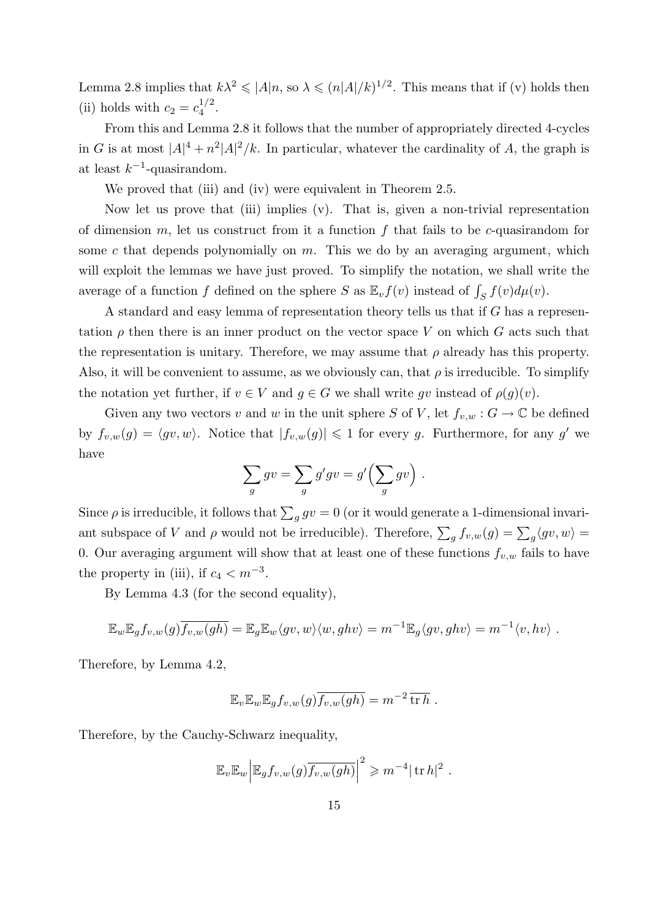Lemma 2.8 implies that  $k\lambda^2 \leqslant |A|n$ , so  $\lambda \leqslant (n|A|/k)^{1/2}$ . This means that if (v) holds then (ii) holds with  $c_2 = c_4^{1/2}$  $\frac{1}{4}$ .

From this and Lemma 2.8 it follows that the number of appropriately directed 4-cycles in G is at most  $|A|^4 + n^2 |A|^2 / k$ . In particular, whatever the cardinality of A, the graph is at least  $k^{-1}$ -quasirandom.

We proved that (iii) and (iv) were equivalent in Theorem 2.5.

Now let us prove that (iii) implies (v). That is, given a non-trivial representation of dimension  $m$ , let us construct from it a function  $f$  that fails to be c-quasirandom for some c that depends polynomially on  $m$ . This we do by an averaging argument, which will exploit the lemmas we have just proved. To simplify the notation, we shall write the average of a function f defined on the sphere S as  $\mathbb{E}_v f(v)$  instead of  $\int_S f(v) d\mu(v)$ .

A standard and easy lemma of representation theory tells us that if G has a representation  $\rho$  then there is an inner product on the vector space V on which G acts such that the representation is unitary. Therefore, we may assume that  $\rho$  already has this property. Also, it will be convenient to assume, as we obviously can, that  $\rho$  is irreducible. To simplify the notation yet further, if  $v \in V$  and  $g \in G$  we shall write gv instead of  $\rho(g)(v)$ .

Given any two vectors v and w in the unit sphere S of V, let  $f_{v,w}: G \to \mathbb{C}$  be defined by  $f_{v,w}(g) = \langle gv, w \rangle$ . Notice that  $|f_{v,w}(g)| \leq 1$  for every g. Furthermore, for any g' we have

$$
\sum_{g} gv = \sum_{g} g' gv = g' \left(\sum_{g} gv\right).
$$

Since  $\rho$  is irreducible, it follows that  $\sum_{g} gv = 0$  (or it would generate a 1-dimensional invariant subspace of V and  $\rho$  would not be irreducible). Therefore,  $\sum_g f_{v,w}(g) = \sum_g \langle gv, w \rangle =$ 0. Our averaging argument will show that at least one of these functions  $f_{v,w}$  fails to have the property in (iii), if  $c_4 < m^{-3}$ .

By Lemma 4.3 (for the second equality),

$$
\mathbb{E}_w \mathbb{E}_g f_{v,w}(g) \overline{f_{v,w}(gh)} = \mathbb{E}_g \mathbb{E}_w \langle gv, w \rangle \langle w, ghv \rangle = m^{-1} \mathbb{E}_g \langle gv, ghv \rangle = m^{-1} \langle v, hv \rangle.
$$

Therefore, by Lemma 4.2,

$$
\mathbb{E}_v \mathbb{E}_w \mathbb{E}_g f_{v,w}(g) \overline{f_{v,w}(gh)} = m^{-2} \overline{\operatorname{tr} h} .
$$

Therefore, by the Cauchy-Schwarz inequality,

$$
\mathbb{E}_v \mathbb{E}_w \Big| \mathbb{E}_g f_{v,w}(g) \overline{f_{v,w}(gh)} \Big|^2 \geqslant m^{-4} |\operatorname{tr} h|^2.
$$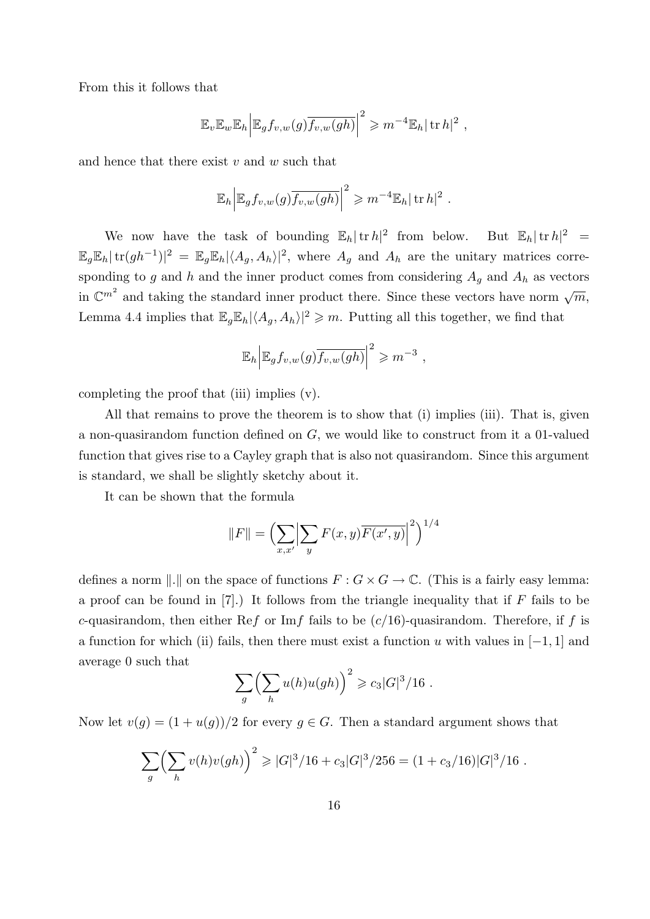From this it follows that

$$
\mathbb{E}_v \mathbb{E}_w \mathbb{E}_h \Big| \mathbb{E}_g f_{v,w}(g) \overline{f_{v,w}(gh)} \Big|^2 \geqslant m^{-4} \mathbb{E}_h |\operatorname{tr} h|^2 ,
$$

and hence that there exist  $v$  and  $w$  such that

$$
\mathbb{E}_h \Big| \mathbb{E}_g f_{v,w}(g) \overline{f_{v,w}(gh)} \Big|^2 \geqslant m^{-4} \mathbb{E}_h |\operatorname{tr} h|^2.
$$

We now have the task of bounding  $\mathbb{E}_h |\text{tr } h|^2$  from below. But  $\mathbb{E}_h |\text{tr } h|^2$  =  $\mathbb{E}_g \mathbb{E}_h |\text{tr}(gh^{-1})|^2 = \mathbb{E}_g \mathbb{E}_h |\langle A_g, A_h \rangle|^2$ , where  $A_g$  and  $A_h$  are the unitary matrices corresponding to g and h and the inner product comes from considering  $A_g$  and  $A_h$  as vectors in  $\mathbb{C}^{m^2}$  and taking the standard inner product there. Since these vectors have norm  $\sqrt{m}$ , Lemma 4.4 implies that  $\mathbb{E}_g \mathbb{E}_h |\langle A_g, A_h \rangle|^2 \geq m$ . Putting all this together, we find that

$$
\mathbb{E}_h \Big| \mathbb{E}_g f_{v,w}(g) \overline{f_{v,w}(gh)} \Big|^2 \geqslant m^{-3} ,
$$

completing the proof that (iii) implies (v).

All that remains to prove the theorem is to show that (i) implies (iii). That is, given a non-quasirandom function defined on G, we would like to construct from it a 01-valued function that gives rise to a Cayley graph that is also not quasirandom. Since this argument is standard, we shall be slightly sketchy about it.

It can be shown that the formula

$$
||F|| = \left(\sum_{x,x'} \left|\sum_{y} F(x,y)\overline{F(x',y)}\right|^2\right)^{1/4}
$$

defines a norm  $\|.\|$  on the space of functions  $F : G \times G \to \mathbb{C}$ . (This is a fairly easy lemma: a proof can be found in  $[7]$ .) It follows from the triangle inequality that if F fails to be c-quasirandom, then either Ref or Imf fails to be  $(c/16)$ -quasirandom. Therefore, if f is a function for which (ii) fails, then there must exist a function u with values in  $[-1, 1]$  and average 0 such that

$$
\sum_{g} \left( \sum_{h} u(h) u(gh) \right)^2 \geqslant c_3 |G|^3 / 16.
$$

Now let  $v(g) = (1 + u(g))/2$  for every  $g \in G$ . Then a standard argument shows that

$$
\sum_{g} \left( \sum_{h} v(h)v(gh) \right)^2 \geqslant |G|^3/16 + c_3|G|^3/256 = (1 + c_3/16)|G|^3/16.
$$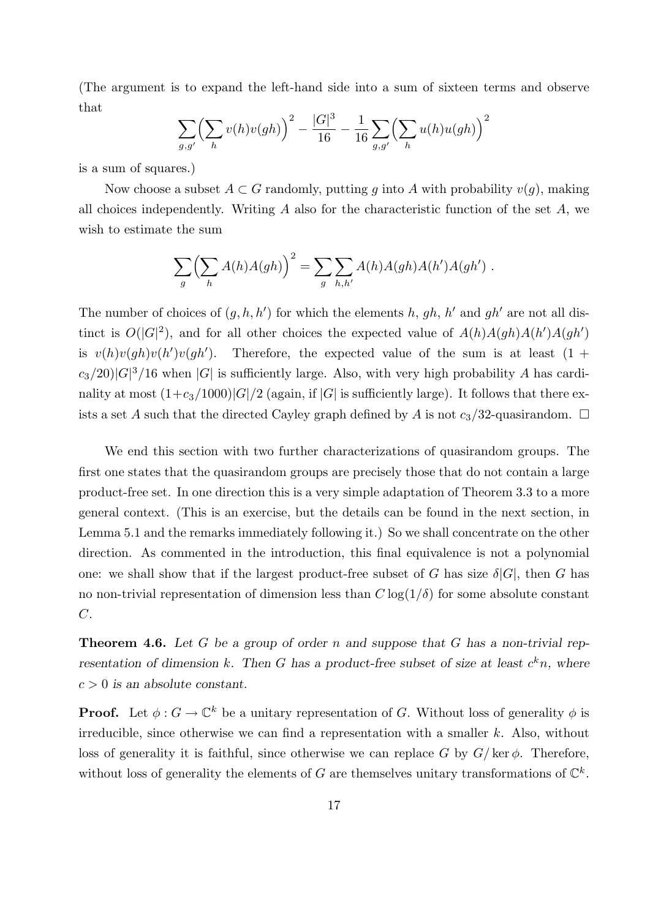(The argument is to expand the left-hand side into a sum of sixteen terms and observe that

$$
\sum_{g,g'} \left(\sum_h v(h)v(gh)\right)^2 - \frac{|G|^3}{16} - \frac{1}{16} \sum_{g,g'} \left(\sum_h u(h)u(gh)\right)^2
$$

is a sum of squares.)

Now choose a subset  $A \subset G$  randomly, putting q into A with probability  $v(q)$ , making all choices independently. Writing  $A$  also for the characteristic function of the set  $A$ , we wish to estimate the sum

$$
\sum_{g} \left( \sum_{h} A(h) A(gh) \right)^2 = \sum_{g} \sum_{h,h'} A(h) A(gh) A(h') A(gh') .
$$

The number of choices of  $(g, h, h')$  for which the elements h, gh, h' and gh' are not all distinct is  $O(|G|^2)$ , and for all other choices the expected value of  $A(h)A(gh)A(h')A(gh')$ is  $v(h)v(gh)v(h')v(gh')$ . Therefore, the expected value of the sum is at least  $(1 +$  $c_3/20$ | $G$ |<sup>3</sup>/16 when  $|G|$  is sufficiently large. Also, with very high probability A has cardinality at most  $(1+c_3/1000)|G|/2$  (again, if |G| is sufficiently large). It follows that there exists a set A such that the directed Cayley graph defined by A is not  $c_3/32$ -quasirandom.  $\Box$ 

We end this section with two further characterizations of quasirandom groups. The first one states that the quasirandom groups are precisely those that do not contain a large product-free set. In one direction this is a very simple adaptation of Theorem 3.3 to a more general context. (This is an exercise, but the details can be found in the next section, in Lemma 5.1 and the remarks immediately following it.) So we shall concentrate on the other direction. As commented in the introduction, this final equivalence is not a polynomial one: we shall show that if the largest product-free subset of G has size  $\delta |G|$ , then G has no non-trivial representation of dimension less than  $C \log(1/\delta)$  for some absolute constant C.

**Theorem 4.6.** Let G be a group of order n and suppose that G has a non-trivial representation of dimension k. Then G has a product-free subset of size at least  $c^k n$ , where  $c > 0$  is an absolute constant.

**Proof.** Let  $\phi: G \to \mathbb{C}^k$  be a unitary representation of G. Without loss of generality  $\phi$  is irreducible, since otherwise we can find a representation with a smaller  $k$ . Also, without loss of generality it is faithful, since otherwise we can replace G by  $G/\text{ker }\phi$ . Therefore, without loss of generality the elements of G are themselves unitary transformations of  $\mathbb{C}^k$ .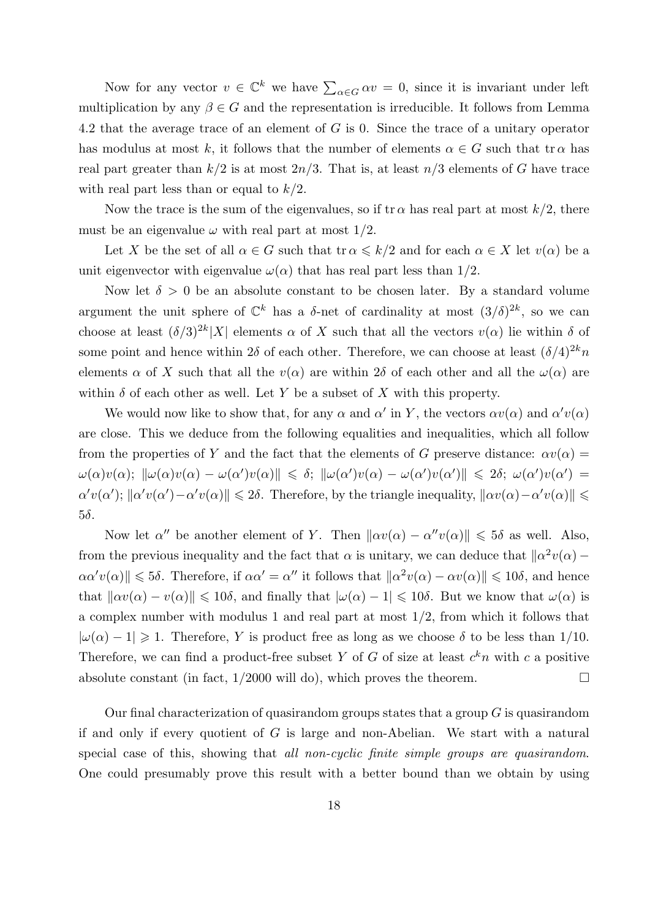Now for any vector  $v \in \mathbb{C}^k$  we have  $\sum_{\alpha \in G} \alpha v = 0$ , since it is invariant under left multiplication by any  $\beta \in G$  and the representation is irreducible. It follows from Lemma 4.2 that the average trace of an element of G is 0. Since the trace of a unitary operator has modulus at most k, it follows that the number of elements  $\alpha \in G$  such that tr $\alpha$  has real part greater than  $k/2$  is at most  $2n/3$ . That is, at least  $n/3$  elements of G have trace with real part less than or equal to  $k/2$ .

Now the trace is the sum of the eigenvalues, so if  $\text{tr }\alpha$  has real part at most  $k/2$ , there must be an eigenvalue  $\omega$  with real part at most 1/2.

Let X be the set of all  $\alpha \in G$  such that  $\operatorname{tr} \alpha \leq k/2$  and for each  $\alpha \in X$  let  $v(\alpha)$  be a unit eigenvector with eigenvalue  $\omega(\alpha)$  that has real part less than 1/2.

Now let  $\delta > 0$  be an absolute constant to be chosen later. By a standard volume argument the unit sphere of  $\mathbb{C}^k$  has a  $\delta$ -net of cardinality at most  $(3/\delta)^{2k}$ , so we can choose at least  $(\delta/3)^{2k}$ |X| elements  $\alpha$  of X such that all the vectors  $v(\alpha)$  lie within  $\delta$  of some point and hence within  $2\delta$  of each other. Therefore, we can choose at least  $(\delta/4)^{2k}n$ elements  $\alpha$  of X such that all the  $v(\alpha)$  are within 2δ of each other and all the  $\omega(\alpha)$  are within  $\delta$  of each other as well. Let Y be a subset of X with this property.

We would now like to show that, for any  $\alpha$  and  $\alpha'$  in Y, the vectors  $\alpha v(\alpha)$  and  $\alpha'v(\alpha)$ are close. This we deduce from the following equalities and inequalities, which all follow from the properties of Y and the fact that the elements of G preserve distance:  $\alpha v(\alpha) =$  $\omega(\alpha)v(\alpha); \|\omega(\alpha)v(\alpha) - \omega(\alpha')v(\alpha)\| \leq \delta; \|\omega(\alpha')v(\alpha) - \omega(\alpha')v(\alpha')\| \leq 2\delta; \ \omega(\alpha')v(\alpha') =$  $\alpha'v(\alpha')$ ;  $\|\alpha'v(\alpha')-\alpha'v(\alpha)\|\leq 2\delta$ . Therefore, by the triangle inequality,  $\|\alpha v(\alpha)-\alpha'v(\alpha)\|\leq 1$ 5δ.

Now let  $\alpha''$  be another element of Y. Then  $\|\alpha v(\alpha) - \alpha''v(\alpha)\| \leq 5\delta$  as well. Also, from the previous inequality and the fact that  $\alpha$  is unitary, we can deduce that  $\|\alpha^2 v(\alpha) \alpha\alpha'v(\alpha)\|\leqslant 5\delta$ . Therefore, if  $\alpha\alpha'=\alpha''$  it follows that  $\|\alpha^2v(\alpha)-\alpha v(\alpha)\|\leqslant 10\delta$ , and hence that  $\|\alpha v(\alpha) - v(\alpha)\| \leq 10\delta$ , and finally that  $|\omega(\alpha) - 1| \leq 10\delta$ . But we know that  $\omega(\alpha)$  is a complex number with modulus 1 and real part at most  $1/2$ , from which it follows that  $|\omega(\alpha) - 1| \geq 1$ . Therefore, Y is product free as long as we choose  $\delta$  to be less than 1/10. Therefore, we can find a product-free subset Y of G of size at least  $c^k n$  with c a positive absolute constant (in fact,  $1/2000$  will do), which proves the theorem.

Our final characterization of quasirandom groups states that a group  $G$  is quasirandom if and only if every quotient of  $G$  is large and non-Abelian. We start with a natural special case of this, showing that all non-cyclic finite simple groups are quasirandom. One could presumably prove this result with a better bound than we obtain by using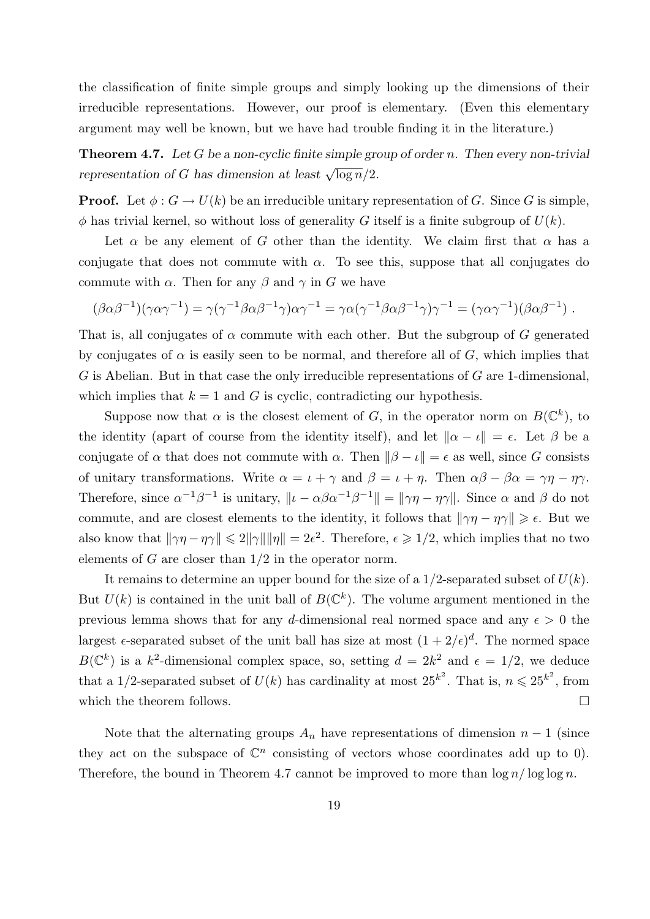the classification of finite simple groups and simply looking up the dimensions of their irreducible representations. However, our proof is elementary. (Even this elementary argument may well be known, but we have had trouble finding it in the literature.)

**Theorem 4.7.** Let G be a non-cyclic finite simple group of order n. Then every non-trivial representation of G has dimension at least  $\sqrt{\log n}/2$ .

**Proof.** Let  $\phi: G \to U(k)$  be an irreducible unitary representation of G. Since G is simple,  $\phi$  has trivial kernel, so without loss of generality G itself is a finite subgroup of  $U(k)$ .

Let  $\alpha$  be any element of G other than the identity. We claim first that  $\alpha$  has a conjugate that does not commute with  $\alpha$ . To see this, suppose that all conjugates do commute with  $\alpha$ . Then for any  $\beta$  and  $\gamma$  in G we have

$$
(\beta \alpha \beta^{-1})(\gamma \alpha \gamma^{-1}) = \gamma (\gamma^{-1} \beta \alpha \beta^{-1} \gamma) \alpha \gamma^{-1} = \gamma \alpha (\gamma^{-1} \beta \alpha \beta^{-1} \gamma) \gamma^{-1} = (\gamma \alpha \gamma^{-1})(\beta \alpha \beta^{-1}) .
$$

That is, all conjugates of  $\alpha$  commute with each other. But the subgroup of G generated by conjugates of  $\alpha$  is easily seen to be normal, and therefore all of G, which implies that  $G$  is Abelian. But in that case the only irreducible representations of  $G$  are 1-dimensional, which implies that  $k = 1$  and G is cyclic, contradicting our hypothesis.

Suppose now that  $\alpha$  is the closest element of G, in the operator norm on  $B(\mathbb{C}^k)$ , to the identity (apart of course from the identity itself), and let  $\|\alpha - \iota\| = \epsilon$ . Let  $\beta$  be a conjugate of  $\alpha$  that does not commute with  $\alpha$ . Then  $\|\beta - \iota\| = \epsilon$  as well, since G consists of unitary transformations. Write  $\alpha = \iota + \gamma$  and  $\beta = \iota + \eta$ . Then  $\alpha\beta - \beta\alpha = \gamma\eta - \eta\gamma$ . Therefore, since  $\alpha^{-1}\beta^{-1}$  is unitary,  $\|\iota - \alpha\beta\alpha^{-1}\beta^{-1}\| = \|\gamma\eta - \eta\gamma\|$ . Since  $\alpha$  and  $\beta$  do not commute, and are closest elements to the identity, it follows that  $\|\gamma\eta - \eta\gamma\| \geq \epsilon$ . But we also know that  $\|\gamma\eta - \eta\gamma\| \leq 2\|\gamma\|\|\eta\| = 2\epsilon^2$ . Therefore,  $\epsilon \geq 1/2$ , which implies that no two elements of G are closer than  $1/2$  in the operator norm.

It remains to determine an upper bound for the size of a  $1/2$ -separated subset of  $U(k)$ . But  $U(k)$  is contained in the unit ball of  $B(\mathbb{C}^k)$ . The volume argument mentioned in the previous lemma shows that for any d-dimensional real normed space and any  $\epsilon > 0$  the largest  $\epsilon$ -separated subset of the unit ball has size at most  $(1+2/\epsilon)^d$ . The normed space  $B(\mathbb{C}^k)$  is a k<sup>2</sup>-dimensional complex space, so, setting  $d = 2k^2$  and  $\epsilon = 1/2$ , we deduce that a 1/2-separated subset of  $U(k)$  has cardinality at most  $25^{k^2}$ . That is,  $n \le 25^{k^2}$ , from which the theorem follows.  $\Box$ 

Note that the alternating groups  $A_n$  have representations of dimension  $n-1$  (since they act on the subspace of  $\mathbb{C}^n$  consisting of vectors whose coordinates add up to 0). Therefore, the bound in Theorem 4.7 cannot be improved to more than  $\log n / \log \log n$ .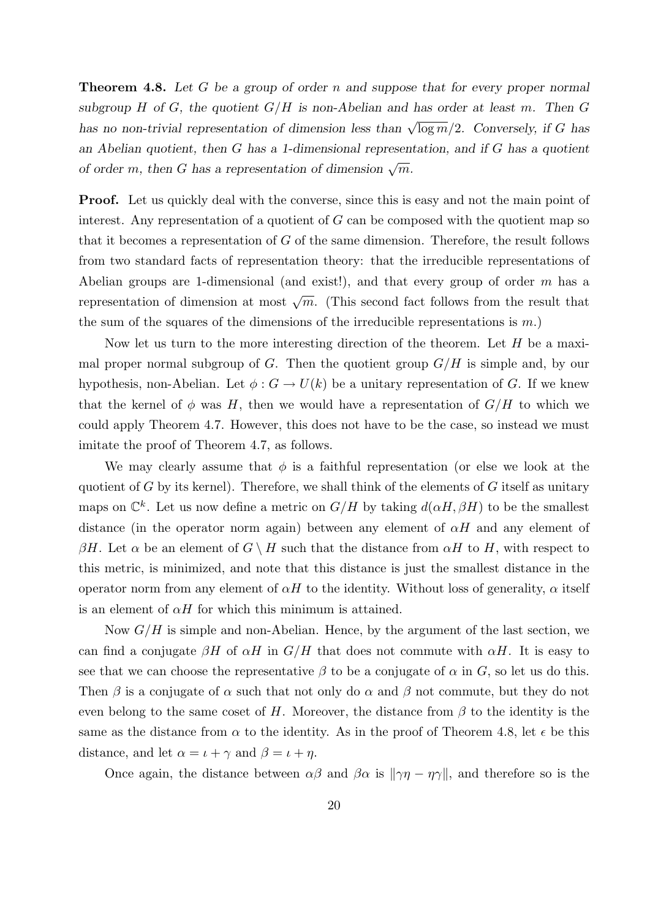**Theorem 4.8.** Let G be a group of order n and suppose that for every proper normal subgroup H of G, the quotient  $G/H$  is non-Abelian and has order at least m. Then G has no non-trivial representation of dimension less than  $\sqrt{\log m}/2$ . Conversely, if G has an Abelian quotient, then G has a 1-dimensional representation, and if G has a quotient of order m, then G has a representation of dimension  $\sqrt{m}$ .

**Proof.** Let us quickly deal with the converse, since this is easy and not the main point of interest. Any representation of a quotient of  $G$  can be composed with the quotient map so that it becomes a representation of  $G$  of the same dimension. Therefore, the result follows from two standard facts of representation theory: that the irreducible representations of Abelian groups are 1-dimensional (and exist!), and that every group of order  $m$  has a representation of dimension at most  $\sqrt{m}$ . (This second fact follows from the result that the sum of the squares of the dimensions of the irreducible representations is  $m$ .)

Now let us turn to the more interesting direction of the theorem. Let  $H$  be a maximal proper normal subgroup of G. Then the quotient group  $G/H$  is simple and, by our hypothesis, non-Abelian. Let  $\phi: G \to U(k)$  be a unitary representation of G. If we knew that the kernel of  $\phi$  was H, then we would have a representation of  $G/H$  to which we could apply Theorem 4.7. However, this does not have to be the case, so instead we must imitate the proof of Theorem 4.7, as follows.

We may clearly assume that  $\phi$  is a faithful representation (or else we look at the quotient of  $G$  by its kernel). Therefore, we shall think of the elements of  $G$  itself as unitary maps on  $\mathbb{C}^k$ . Let us now define a metric on  $G/H$  by taking  $d(\alpha H, \beta H)$  to be the smallest distance (in the operator norm again) between any element of  $\alpha H$  and any element of βH. Let  $\alpha$  be an element of  $G \setminus H$  such that the distance from  $\alpha H$  to H, with respect to this metric, is minimized, and note that this distance is just the smallest distance in the operator norm from any element of  $\alpha H$  to the identity. Without loss of generality,  $\alpha$  itself is an element of  $\alpha H$  for which this minimum is attained.

Now  $G/H$  is simple and non-Abelian. Hence, by the argument of the last section, we can find a conjugate  $\beta H$  of  $\alpha H$  in  $G/H$  that does not commute with  $\alpha H$ . It is easy to see that we can choose the representative  $\beta$  to be a conjugate of  $\alpha$  in G, so let us do this. Then  $\beta$  is a conjugate of  $\alpha$  such that not only do  $\alpha$  and  $\beta$  not commute, but they do not even belong to the same coset of H. Moreover, the distance from  $\beta$  to the identity is the same as the distance from  $\alpha$  to the identity. As in the proof of Theorem 4.8, let  $\epsilon$  be this distance, and let  $\alpha = \iota + \gamma$  and  $\beta = \iota + \eta$ .

Once again, the distance between  $\alpha\beta$  and  $\beta\alpha$  is  $\|\gamma\eta - \eta\gamma\|$ , and therefore so is the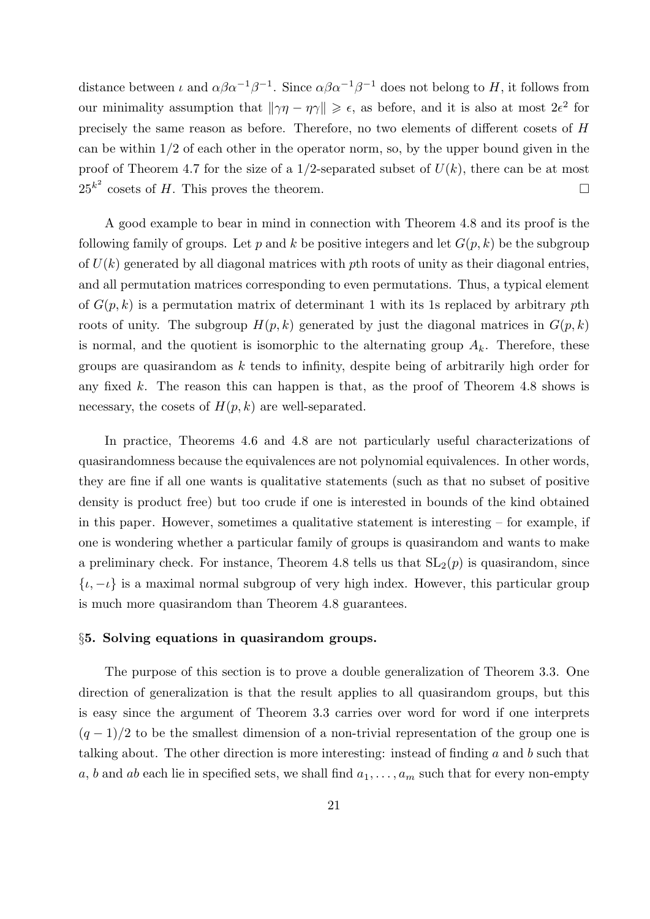distance between  $\iota$  and  $\alpha \beta \alpha^{-1} \beta^{-1}$ . Since  $\alpha \beta \alpha^{-1} \beta^{-1}$  does not belong to H, it follows from our minimality assumption that  $\|\gamma\eta - \eta\gamma\| \geq \epsilon$ , as before, and it is also at most  $2\epsilon^2$  for precisely the same reason as before. Therefore, no two elements of different cosets of H can be within  $1/2$  of each other in the operator norm, so, by the upper bound given in the proof of Theorem 4.7 for the size of a 1/2-separated subset of  $U(k)$ , there can be at most  $25^{k^2}$  cosets of H. This proves the theorem.

A good example to bear in mind in connection with Theorem 4.8 and its proof is the following family of groups. Let p and k be positive integers and let  $G(p, k)$  be the subgroup of  $U(k)$  generated by all diagonal matrices with pth roots of unity as their diagonal entries, and all permutation matrices corresponding to even permutations. Thus, a typical element of  $G(p, k)$  is a permutation matrix of determinant 1 with its 1s replaced by arbitrary pth roots of unity. The subgroup  $H(p, k)$  generated by just the diagonal matrices in  $G(p, k)$ is normal, and the quotient is isomorphic to the alternating group  $A_k$ . Therefore, these groups are quasirandom as  $k$  tends to infinity, despite being of arbitrarily high order for any fixed k. The reason this can happen is that, as the proof of Theorem 4.8 shows is necessary, the cosets of  $H(p, k)$  are well-separated.

In practice, Theorems 4.6 and 4.8 are not particularly useful characterizations of quasirandomness because the equivalences are not polynomial equivalences. In other words, they are fine if all one wants is qualitative statements (such as that no subset of positive density is product free) but too crude if one is interested in bounds of the kind obtained in this paper. However, sometimes a qualitative statement is interesting – for example, if one is wondering whether a particular family of groups is quasirandom and wants to make a preliminary check. For instance, Theorem 4.8 tells us that  $SL_2(p)$  is quasirandom, since  $\{t, -t\}$  is a maximal normal subgroup of very high index. However, this particular group is much more quasirandom than Theorem 4.8 guarantees.

## §5. Solving equations in quasirandom groups.

The purpose of this section is to prove a double generalization of Theorem 3.3. One direction of generalization is that the result applies to all quasirandom groups, but this is easy since the argument of Theorem 3.3 carries over word for word if one interprets  $(q-1)/2$  to be the smallest dimension of a non-trivial representation of the group one is talking about. The other direction is more interesting: instead of finding a and b such that a, b and ab each lie in specified sets, we shall find  $a_1, \ldots, a_m$  such that for every non-empty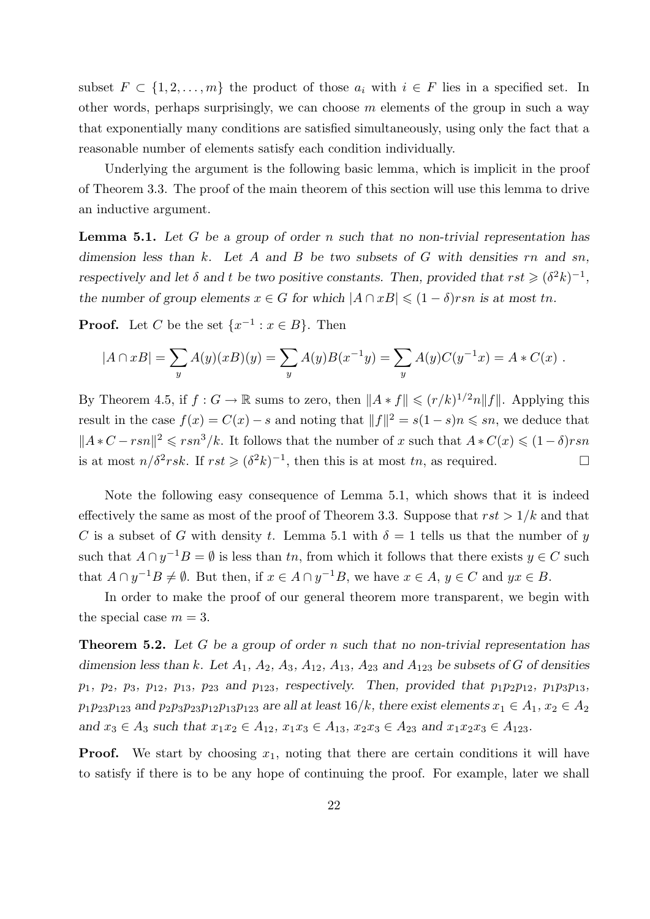subset  $F \subset \{1, 2, ..., m\}$  the product of those  $a_i$  with  $i \in F$  lies in a specified set. In other words, perhaps surprisingly, we can choose  $m$  elements of the group in such a way that exponentially many conditions are satisfied simultaneously, using only the fact that a reasonable number of elements satisfy each condition individually.

Underlying the argument is the following basic lemma, which is implicit in the proof of Theorem 3.3. The proof of the main theorem of this section will use this lemma to drive an inductive argument.

**Lemma 5.1.** Let G be a group of order n such that no non-trivial representation has dimension less than k. Let A and B be two subsets of G with densities  $rn$  and  $sn$ , respectively and let  $\delta$  and t be two positive constants. Then, provided that  $rst \geqslant (\delta^2 k)^{-1}$ , the number of group elements  $x \in G$  for which  $|A \cap xB| \leq (1 - \delta)$ rsn is at most tn.

**Proof.** Let C be the set  $\{x^{-1} : x \in B\}$ . Then

$$
|A \cap xB| = \sum_{y} A(y)(xB)(y) = \sum_{y} A(y)B(x^{-1}y) = \sum_{y} A(y)C(y^{-1}x) = A*C(x).
$$

By Theorem 4.5, if  $f: G \to \mathbb{R}$  sums to zero, then  $||A * f|| \leqslant (r/k)^{1/2} n ||f||$ . Applying this result in the case  $f(x) = C(x) - s$  and noting that  $||f||^2 = s(1-s)n \leq s_n$ , we deduce that  $||A*C - rsn||^2 \leqslant rsn^3/k$ . It follows that the number of x such that  $A*C(x) \leqslant (1 - \delta) rsn$ is at most  $n/\delta^2$ rsk. If  $rst \geqslant (\delta^2 k)^{-1}$ , then this is at most tn, as required.

Note the following easy consequence of Lemma 5.1, which shows that it is indeed effectively the same as most of the proof of Theorem 3.3. Suppose that  $rst > 1/k$  and that C is a subset of G with density t. Lemma 5.1 with  $\delta = 1$  tells us that the number of y such that  $A \cap y^{-1}B = \emptyset$  is less than tn, from which it follows that there exists  $y \in C$  such that  $A \cap y^{-1}B \neq \emptyset$ . But then, if  $x \in A \cap y^{-1}B$ , we have  $x \in A$ ,  $y \in C$  and  $yx \in B$ .

In order to make the proof of our general theorem more transparent, we begin with the special case  $m = 3$ .

**Theorem 5.2.** Let G be a group of order n such that no non-trivial representation has dimension less than k. Let  $A_1$ ,  $A_2$ ,  $A_3$ ,  $A_{12}$ ,  $A_{13}$ ,  $A_{23}$  and  $A_{123}$  be subsets of G of densities  $p_1, p_2, p_3, p_{12}, p_{13}, p_{23}$  and  $p_{123}$ , respectively. Then, provided that  $p_1p_2p_{12}, p_1p_3p_{13}$ ,  $p_1p_{23}p_{123}$  and  $p_2p_3p_{23}p_{12}p_{13}p_{123}$  are all at least  $16/k$ , there exist elements  $x_1 \in A_1$ ,  $x_2 \in A_2$ and  $x_3 \in A_3$  such that  $x_1x_2 \in A_{12}$ ,  $x_1x_3 \in A_{13}$ ,  $x_2x_3 \in A_{23}$  and  $x_1x_2x_3 \in A_{123}$ .

**Proof.** We start by choosing  $x_1$ , noting that there are certain conditions it will have to satisfy if there is to be any hope of continuing the proof. For example, later we shall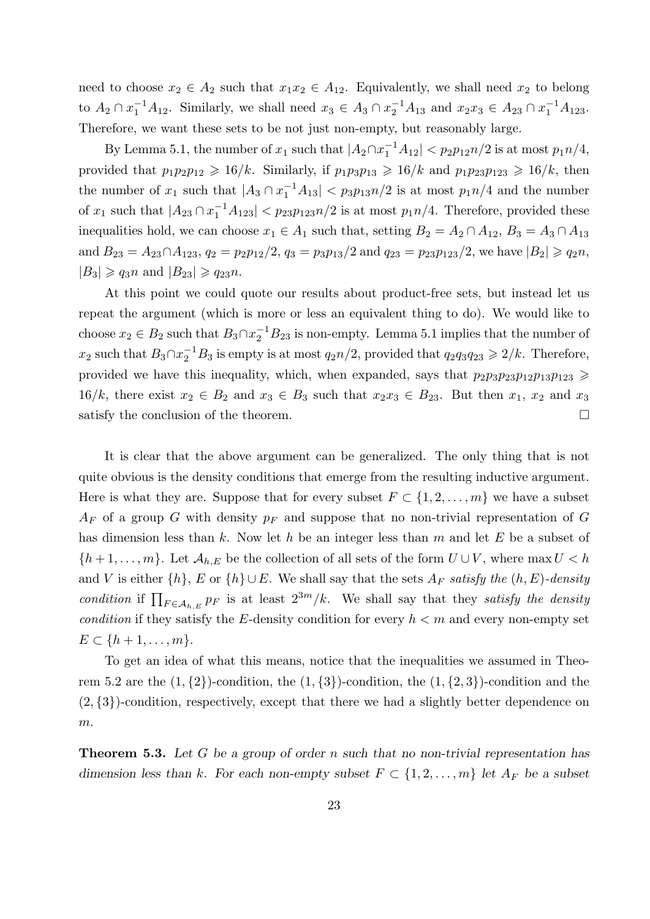need to choose  $x_2 \in A_2$  such that  $x_1x_2 \in A_1$ . Equivalently, we shall need  $x_2$  to belong to  $A_2 \cap x_1^{-1}A_{12}$ . Similarly, we shall need  $x_3 \in A_3 \cap x_2^{-1}A_{13}$  and  $x_2x_3 \in A_{23} \cap x_1^{-1}A_{123}$ . Therefore, we want these sets to be not just non-empty, but reasonably large.

By Lemma 5.1, the number of  $x_1$  such that  $|A_2 \cap x_1^{-1} A_{12}| < p_2 p_{12} n/2$  is at most  $p_1 n/4$ , provided that  $p_1p_2p_{12} \geq 16/k$ . Similarly, if  $p_1p_3p_{13} \geq 16/k$  and  $p_1p_{23}p_{123} \geq 16/k$ , then the number of  $x_1$  such that  $|A_3 \cap x_1^{-1}A_{13}|$   $\lt p_3 p_{13} n/2$  is at most  $p_1 n/4$  and the number of  $x_1$  such that  $|A_{23} \cap x_1^{-1}A_{123}|$   $\lt p_{23}p_{123}n/2$  is at most  $p_1n/4$ . Therefore, provided these inequalities hold, we can choose  $x_1 \in A_1$  such that, setting  $B_2 = A_2 \cap A_{12}$ ,  $B_3 = A_3 \cap A_{13}$ and  $B_{23} = A_{23} \cap A_{123}$ ,  $q_2 = p_2 p_{12}/2$ ,  $q_3 = p_3 p_{13}/2$  and  $q_{23} = p_{23} p_{123}/2$ , we have  $|B_2| \geqslant q_2 n$ ,  $|B_3| \geqslant q_3 n$  and  $|B_{23}| \geqslant q_{23} n$ .

At this point we could quote our results about product-free sets, but instead let us repeat the argument (which is more or less an equivalent thing to do). We would like to choose  $x_2 \in B_2$  such that  $B_3 \cap x_2^{-1}B_{23}$  is non-empty. Lemma 5.1 implies that the number of  $x_2$  such that  $B_3 \cap x_2^{-1}B_3$  is empty is at most  $q_2n/2$ , provided that  $q_2q_3q_{23} \geqslant 2/k$ . Therefore, provided we have this inequality, which, when expanded, says that  $p_2p_3p_{23}p_{12}p_{13}p_{123} \geqslant$  $16/k$ , there exist  $x_2 \in B_2$  and  $x_3 \in B_3$  such that  $x_2x_3 \in B_2$ . But then  $x_1, x_2$  and  $x_3$ satisfy the conclusion of the theorem.

It is clear that the above argument can be generalized. The only thing that is not quite obvious is the density conditions that emerge from the resulting inductive argument. Here is what they are. Suppose that for every subset  $F \subset \{1, 2, \ldots, m\}$  we have a subset  $A_F$  of a group G with density  $p_F$  and suppose that no non-trivial representation of G has dimension less than k. Now let h be an integer less than m and let E be a subset of  $\{h+1,\ldots,m\}$ . Let  $\mathcal{A}_{h,E}$  be the collection of all sets of the form  $U\cup V$ , where max  $U < h$ and V is either  $\{h\}$ , E or  $\{h\} \cup E$ . We shall say that the sets  $A_F$  satisfy the  $(h, E)$ -density condition if  $\prod_{F \in A_{h,E}} p_F$  is at least  $2^{3m}/k$ . We shall say that they satisfy the density condition if they satisfy the E-density condition for every  $h < m$  and every non-empty set  $E \subset \{h+1, \ldots, m\}.$ 

To get an idea of what this means, notice that the inequalities we assumed in Theorem 5.2 are the  $(1,\{2\})$ -condition, the  $(1,\{3\})$ -condition, the  $(1,\{2,3\})$ -condition and the (2, {3})-condition, respectively, except that there we had a slightly better dependence on  $m$ .

**Theorem 5.3.** Let G be a group of order n such that no non-trivial representation has dimension less than k. For each non-empty subset  $F \subset \{1, 2, ..., m\}$  let  $A_F$  be a subset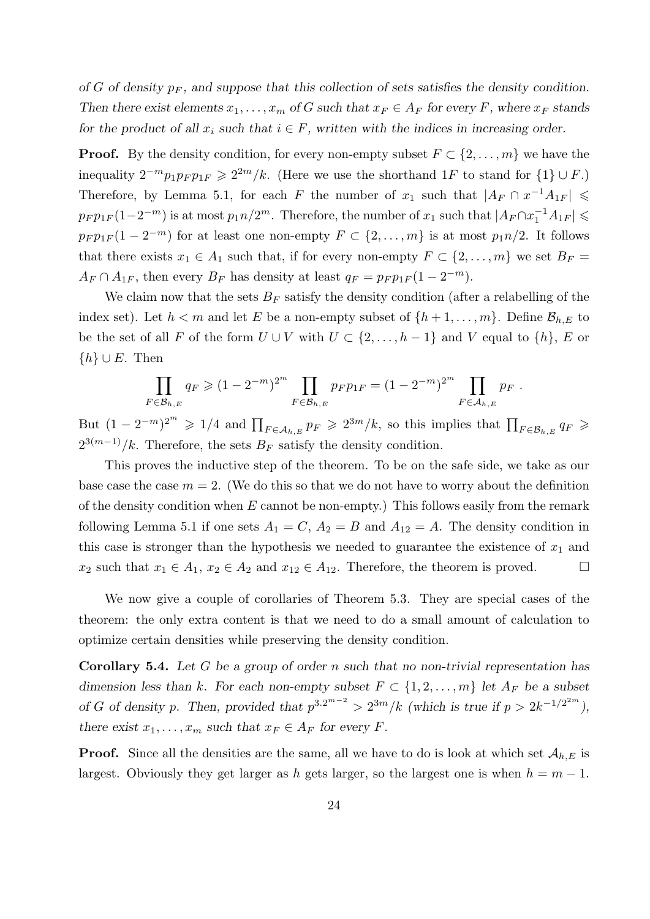of G of density  $p_F$ , and suppose that this collection of sets satisfies the density condition. Then there exist elements  $x_1, \ldots, x_m$  of G such that  $x_F \in A_F$  for every F, where  $x_F$  stands for the product of all  $x_i$  such that  $i \in F$ , written with the indices in increasing order.

**Proof.** By the density condition, for every non-empty subset  $F \subset \{2, \ldots, m\}$  we have the inequality  $2^{-m}p_1p_F p_{1F} \geqslant 2^{2m}/k$ . (Here we use the shorthand 1F to stand for  $\{1\} \cup F$ .) Therefore, by Lemma 5.1, for each F the number of  $x_1$  such that  $|A_F \cap x^{-1}A_{1F}| \leq$  $p_F p_{1F} (1-2^{-m})$  is at most  $p_1 n/2^m$ . Therefore, the number of  $x_1$  such that  $|A_F \cap x_1^{-1} A_{1F}| \leqslant$  $p_F p_{1F} (1 - 2^{-m})$  for at least one non-empty  $F \subset \{2, \ldots, m\}$  is at most  $p_1 n/2$ . It follows that there exists  $x_1 \in A_1$  such that, if for every non-empty  $F \subset \{2, \ldots, m\}$  we set  $B_F =$  $A_F \cap A_{1F}$ , then every  $B_F$  has density at least  $q_F = p_F p_{1F} (1 - 2^{-m}).$ 

We claim now that the sets  $B_F$  satisfy the density condition (after a relabelling of the index set). Let  $h < m$  and let E be a non-empty subset of  $\{h+1,\ldots,m\}$ . Define  $\mathcal{B}_{h,E}$  to be the set of all F of the form  $U \cup V$  with  $U \subset \{2, \ldots, h-1\}$  and V equal to  $\{h\}$ , E or  $\{h\} \cup E$ . Then

$$
\prod_{F \in \mathcal{B}_{h,E}} q_F \geq (1 - 2^{-m})^{2^m} \prod_{F \in \mathcal{B}_{h,E}} p_F p_{1F} = (1 - 2^{-m})^{2^m} \prod_{F \in \mathcal{A}_{h,E}} p_F.
$$

But  $(1 - 2^{-m})^{2^m} \geq 1/4$  and  $\prod_{F \in A_{h,E}} p_F \geq 2^{3m}/k$ , so this implies that  $\prod_{F \in \mathcal{B}_{h,E}} q_F \geq$  $2^{3(m-1)}/k$ . Therefore, the sets  $B_F$  satisfy the density condition.

This proves the inductive step of the theorem. To be on the safe side, we take as our base case the case  $m = 2$ . (We do this so that we do not have to worry about the definition of the density condition when  $E$  cannot be non-empty.) This follows easily from the remark following Lemma 5.1 if one sets  $A_1 = C$ ,  $A_2 = B$  and  $A_{12} = A$ . The density condition in this case is stronger than the hypothesis we needed to guarantee the existence of  $x_1$  and  $x_2$  such that  $x_1 \in A_1$ ,  $x_2 \in A_2$  and  $x_{12} \in A_{12}$ . Therefore, the theorem is proved.

We now give a couple of corollaries of Theorem 5.3. They are special cases of the theorem: the only extra content is that we need to do a small amount of calculation to optimize certain densities while preserving the density condition.

**Corollary 5.4.** Let G be a group of order n such that no non-trivial representation has dimension less than k. For each non-empty subset  $F \subset \{1, 2, ..., m\}$  let  $A_F$  be a subset of G of density p. Then, provided that  $p^{3.2^{m-2}} > 2^{3m}/k$  (which is true if  $p > 2k^{-1/2^{2m}}$ ), there exist  $x_1, \ldots, x_m$  such that  $x_F \in A_F$  for every F.

**Proof.** Since all the densities are the same, all we have to do is look at which set  $\mathcal{A}_{h,E}$  is largest. Obviously they get larger as h gets larger, so the largest one is when  $h = m - 1$ .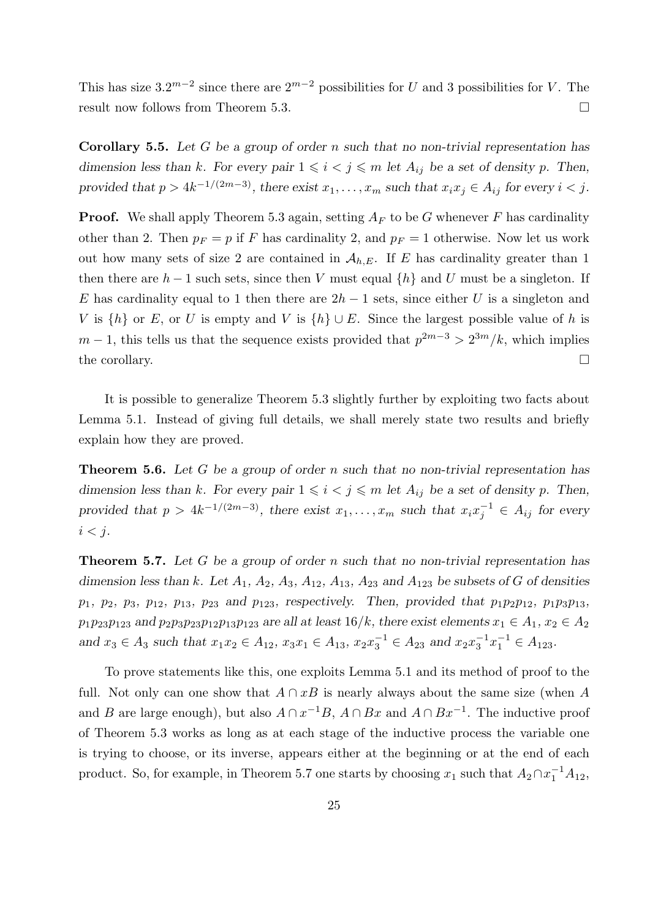This has size  $3.2^{m-2}$  since there are  $2^{m-2}$  possibilities for U and 3 possibilities for V. The result now follows from Theorem 5.3.

**Corollary 5.5.** Let G be a group of order n such that no non-trivial representation has dimension less than k. For every pair  $1 \leq i \leq j \leq m$  let  $A_{ij}$  be a set of density p. Then, provided that  $p > 4k^{-1/(2m-3)}$ , there exist  $x_1, \ldots, x_m$  such that  $x_i x_j \in A_{ij}$  for every  $i < j$ .

**Proof.** We shall apply Theorem 5.3 again, setting  $A_F$  to be G whenever F has cardinality other than 2. Then  $p_F = p$  if F has cardinality 2, and  $p_F = 1$  otherwise. Now let us work out how many sets of size 2 are contained in  $A_{h,E}$ . If E has cardinality greater than 1 then there are  $h-1$  such sets, since then V must equal  $\{h\}$  and U must be a singleton. If E has cardinality equal to 1 then there are  $2h-1$  sets, since either U is a singleton and V is  $\{h\}$  or E, or U is empty and V is  $\{h\} \cup E$ . Since the largest possible value of h is  $m-1$ , this tells us that the sequence exists provided that  $p^{2m-3} > 2^{3m}/k$ , which implies the corollary.  $\Box$ 

It is possible to generalize Theorem 5.3 slightly further by exploiting two facts about Lemma 5.1. Instead of giving full details, we shall merely state two results and briefly explain how they are proved.

**Theorem 5.6.** Let G be a group of order n such that no non-trivial representation has dimension less than k. For every pair  $1 \leq i \leq j \leq m$  let  $A_{ij}$  be a set of density p. Then, provided that  $p > 4k^{-1/(2m-3)}$ , there exist  $x_1, \ldots, x_m$  such that  $x_i x_i^{-1}$  $j^{-1} \in A_{ij}$  for every  $i < j$ .

Theorem 5.7. Let G be a group of order n such that no non-trivial representation has dimension less than k. Let  $A_1$ ,  $A_2$ ,  $A_3$ ,  $A_{12}$ ,  $A_{13}$ ,  $A_{23}$  and  $A_{123}$  be subsets of G of densities  $p_1, p_2, p_3, p_{12}, p_{13}, p_{23}$  and  $p_{123}$ , respectively. Then, provided that  $p_1p_2p_{12}, p_1p_3p_{13}$ ,  $p_1p_{23}p_{123}$  and  $p_2p_3p_{23}p_{12}p_{13}p_{123}$  are all at least  $16/k$ , there exist elements  $x_1 \in A_1$ ,  $x_2 \in A_2$ and  $x_3 \in A_3$  such that  $x_1x_2 \in A_{12}$ ,  $x_3x_1 \in A_{13}$ ,  $x_2x_3^{-1} \in A_{23}$  and  $x_2x_3^{-1}$  $\overline{s}^{-1}x_1^{-1} \in A_{123}.$ 

To prove statements like this, one exploits Lemma 5.1 and its method of proof to the full. Not only can one show that  $A \cap xB$  is nearly always about the same size (when A and B are large enough), but also  $A \cap x^{-1}B$ ,  $A \cap Bx$  and  $A \cap Bx^{-1}$ . The inductive proof of Theorem 5.3 works as long as at each stage of the inductive process the variable one is trying to choose, or its inverse, appears either at the beginning or at the end of each product. So, for example, in Theorem 5.7 one starts by choosing  $x_1$  such that  $A_2 \cap x_1^{-1}A_{12}$ ,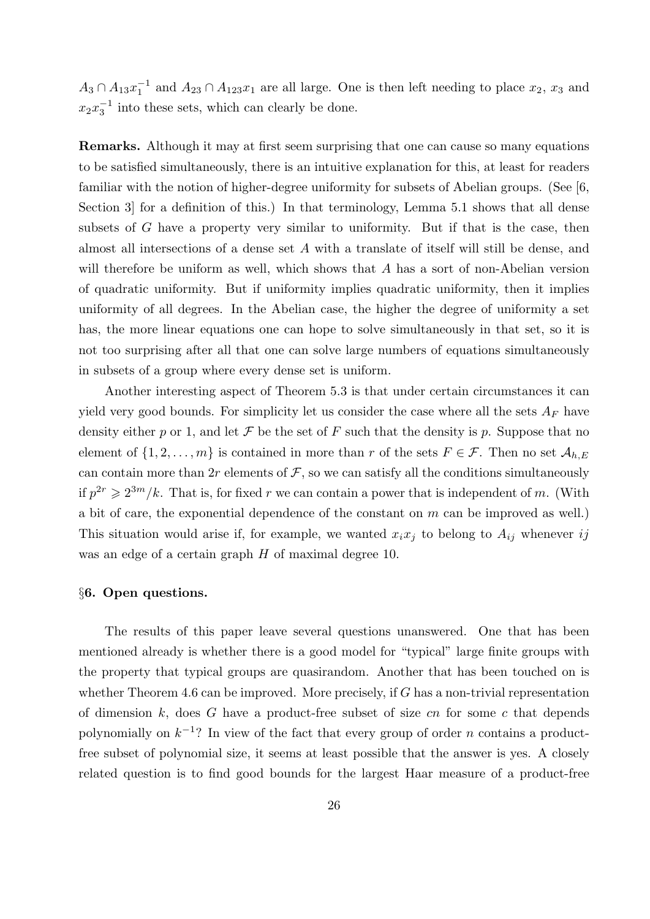$A_3 \cap A_{13}x_1^{-1}$  $_1^{-1}$  and  $A_{23} \cap A_{123}x_1$  are all large. One is then left needing to place  $x_2$ ,  $x_3$  and  $x_2x_3^{-1}$  $\frac{1}{3}$  into these sets, which can clearly be done.

Remarks. Although it may at first seem surprising that one can cause so many equations to be satisfied simultaneously, there is an intuitive explanation for this, at least for readers familiar with the notion of higher-degree uniformity for subsets of Abelian groups. (See [6, Section 3 for a definition of this.) In that terminology, Lemma 5.1 shows that all dense subsets of G have a property very similar to uniformity. But if that is the case, then almost all intersections of a dense set A with a translate of itself will still be dense, and will therefore be uniform as well, which shows that A has a sort of non-Abelian version of quadratic uniformity. But if uniformity implies quadratic uniformity, then it implies uniformity of all degrees. In the Abelian case, the higher the degree of uniformity a set has, the more linear equations one can hope to solve simultaneously in that set, so it is not too surprising after all that one can solve large numbers of equations simultaneously in subsets of a group where every dense set is uniform.

Another interesting aspect of Theorem 5.3 is that under certain circumstances it can yield very good bounds. For simplicity let us consider the case where all the sets  $A_F$  have density either p or 1, and let F be the set of F such that the density is p. Suppose that no element of  $\{1, 2, \ldots, m\}$  is contained in more than r of the sets  $F \in \mathcal{F}$ . Then no set  $\mathcal{A}_{h,E}$ can contain more than 2r elements of  $\mathcal F$ , so we can satisfy all the conditions simultaneously if  $p^{2r} \geq 2^{3m}/k$ . That is, for fixed r we can contain a power that is independent of m. (With a bit of care, the exponential dependence of the constant on  $m$  can be improved as well.) This situation would arise if, for example, we wanted  $x_i x_j$  to belong to  $A_{ij}$  whenever ij was an edge of a certain graph H of maximal degree 10.

# §6. Open questions.

The results of this paper leave several questions unanswered. One that has been mentioned already is whether there is a good model for "typical" large finite groups with the property that typical groups are quasirandom. Another that has been touched on is whether Theorem 4.6 can be improved. More precisely, if G has a non-trivial representation of dimension  $k$ , does  $G$  have a product-free subset of size  $cn$  for some  $c$  that depends polynomially on  $k^{-1}$ ? In view of the fact that every group of order *n* contains a productfree subset of polynomial size, it seems at least possible that the answer is yes. A closely related question is to find good bounds for the largest Haar measure of a product-free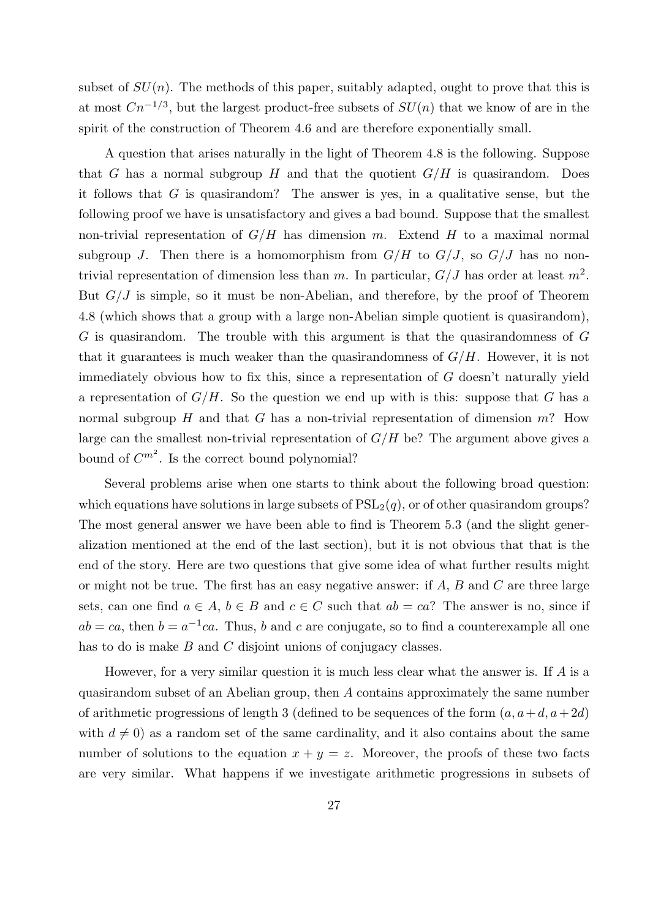subset of  $SU(n)$ . The methods of this paper, suitably adapted, ought to prove that this is at most  $Cn^{-1/3}$ , but the largest product-free subsets of  $SU(n)$  that we know of are in the spirit of the construction of Theorem 4.6 and are therefore exponentially small.

A question that arises naturally in the light of Theorem 4.8 is the following. Suppose that G has a normal subgroup H and that the quotient  $G/H$  is quasirandom. Does it follows that  $G$  is quasirandom? The answer is yes, in a qualitative sense, but the following proof we have is unsatisfactory and gives a bad bound. Suppose that the smallest non-trivial representation of  $G/H$  has dimension m. Extend H to a maximal normal subgroup J. Then there is a homomorphism from  $G/H$  to  $G/J$ , so  $G/J$  has no nontrivial representation of dimension less than m. In particular,  $G/J$  has order at least  $m^2$ . But  $G/J$  is simple, so it must be non-Abelian, and therefore, by the proof of Theorem 4.8 (which shows that a group with a large non-Abelian simple quotient is quasirandom), G is quasirandom. The trouble with this argument is that the quasirandomness of G that it guarantees is much weaker than the quasirandomness of  $G/H$ . However, it is not immediately obvious how to fix this, since a representation of G doesn't naturally yield a representation of  $G/H$ . So the question we end up with is this: suppose that G has a normal subgroup  $H$  and that  $G$  has a non-trivial representation of dimension  $m$ ? How large can the smallest non-trivial representation of  $G/H$  be? The argument above gives a bound of  $C^{m^2}$ . Is the correct bound polynomial?

Several problems arise when one starts to think about the following broad question: which equations have solutions in large subsets of  $PSL<sub>2</sub>(q)$ , or of other quasirandom groups? The most general answer we have been able to find is Theorem 5.3 (and the slight generalization mentioned at the end of the last section), but it is not obvious that that is the end of the story. Here are two questions that give some idea of what further results might or might not be true. The first has an easy negative answer: if  $A, B$  and  $C$  are three large sets, can one find  $a \in A$ ,  $b \in B$  and  $c \in C$  such that  $ab = ca$ ? The answer is no, since if  $ab = ca$ , then  $b = a^{-1}ca$ . Thus, b and c are conjugate, so to find a counterexample all one has to do is make  $B$  and  $C$  disjoint unions of conjugacy classes.

However, for a very similar question it is much less clear what the answer is. If  $A$  is a quasirandom subset of an Abelian group, then A contains approximately the same number of arithmetic progressions of length 3 (defined to be sequences of the form  $(a, a+d, a+2d)$ ) with  $d \neq 0$ ) as a random set of the same cardinality, and it also contains about the same number of solutions to the equation  $x + y = z$ . Moreover, the proofs of these two facts are very similar. What happens if we investigate arithmetic progressions in subsets of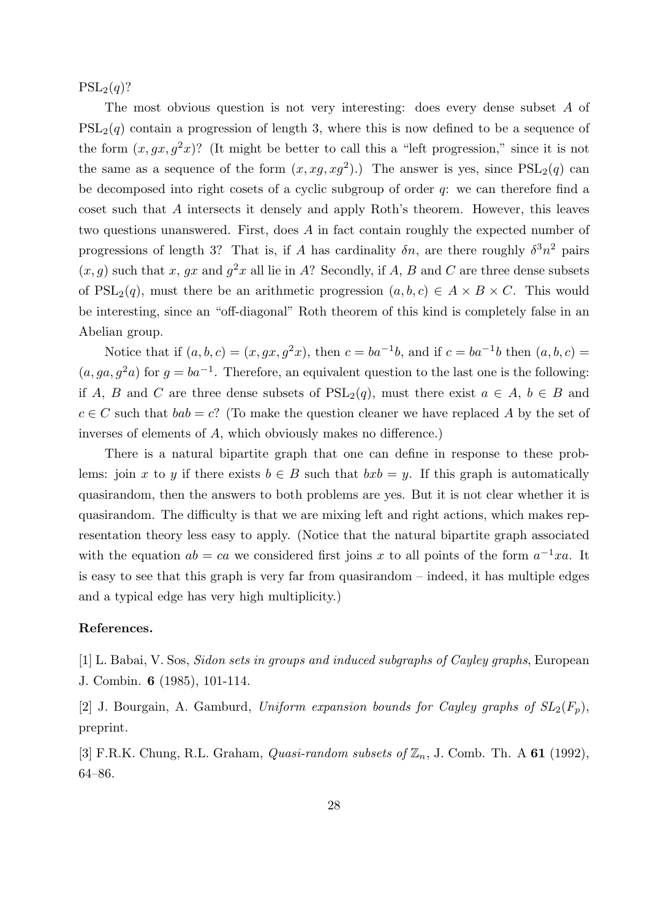$PSL_2(q)$ ?

The most obvious question is not very interesting: does every dense subset A of  $PSL<sub>2</sub>(q)$  contain a progression of length 3, where this is now defined to be a sequence of the form  $(x, gx, g<sup>2</sup>x)$ ? (It might be better to call this a "left progression," since it is not the same as a sequence of the form  $(x, xg, xg^2)$ .) The answer is yes, since  $PSL_2(q)$  can be decomposed into right cosets of a cyclic subgroup of order q: we can therefore find a coset such that A intersects it densely and apply Roth's theorem. However, this leaves two questions unanswered. First, does A in fact contain roughly the expected number of progressions of length 3? That is, if A has cardinality  $\delta n$ , are there roughly  $\delta^3 n^2$  pairs  $(x, g)$  such that x, gx and  $g^2x$  all lie in A? Secondly, if A, B and C are three dense subsets of  $PSL_2(q)$ , must there be an arithmetic progression  $(a, b, c) \in A \times B \times C$ . This would be interesting, since an "off-diagonal" Roth theorem of this kind is completely false in an Abelian group.

Notice that if  $(a, b, c) = (x, gx, g<sup>2</sup>x)$ , then  $c = ba<sup>-1</sup>b$ , and if  $c = ba<sup>-1</sup>b$  then  $(a, b, c) =$  $(a, ga, g<sup>2</sup>a)$  for  $g = ba<sup>-1</sup>$ . Therefore, an equivalent question to the last one is the following: if A, B and C are three dense subsets of  $PSL_2(q)$ , must there exist  $a \in A, b \in B$  and  $c \in C$  such that  $bab = c$ ? (To make the question cleaner we have replaced A by the set of inverses of elements of A, which obviously makes no difference.)

There is a natural bipartite graph that one can define in response to these problems: join x to y if there exists  $b \in B$  such that  $bxb = y$ . If this graph is automatically quasirandom, then the answers to both problems are yes. But it is not clear whether it is quasirandom. The difficulty is that we are mixing left and right actions, which makes representation theory less easy to apply. (Notice that the natural bipartite graph associated with the equation  $ab = ca$  we considered first joins x to all points of the form  $a^{-1}xa$ . It is easy to see that this graph is very far from quasirandom – indeed, it has multiple edges and a typical edge has very high multiplicity.)

## References.

[1] L. Babai, V. Sos, Sidon sets in groups and induced subgraphs of Cayley graphs, European J. Combin. 6 (1985), 101-114.

[2] J. Bourgain, A. Gamburd, Uniform expansion bounds for Cayley graphs of  $SL_2(F_p)$ , preprint.

[3] F.R.K. Chung, R.L. Graham, *Quasi-random subsets of*  $\mathbb{Z}_n$ , J. Comb. Th. A **61** (1992), 64–86.